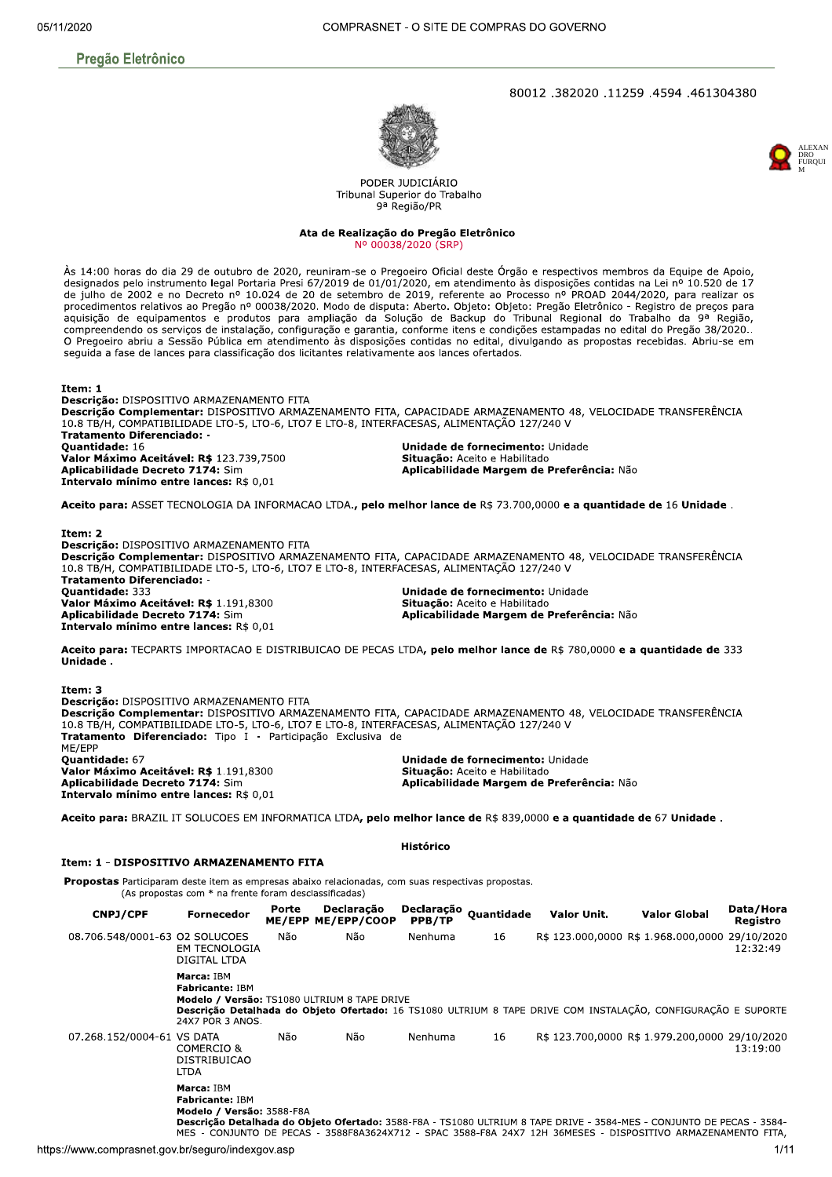## 80012.382020.11259.4594.461304380





PODER JUDICIÁRIO Tribunal Superior do Trabalho 9ª Região/PR

Ata de Realização do Pregão Eletrônico Nº 00038/2020 (SRP)

Às 14:00 horas do dia 29 de outubro de 2020, reuniram-se o Pregoeiro Oficial deste Órgão e respectivos membros da Equipe de Apoio, designados pelo instrumento legal Portaria Presi 67/2019 de 01/01/2020, em atendimento às disposições contidas na Lei nº 10.520 de 17 de julho de 2002 e no Decreto nº 10.024 de 20 de setembro de 2019, referente ao Processo nº PROAD 2044/2020, para realizar os procedimentos relativos ao Pregão nº 00038/2020. Modo de disputa: Aberto. Objeto: Objeto: Pregão Eletrônico - Registro de preços para aguisição de equipamentos e produtos para ampliação da Solução de Backup do Tribunal Regional do Trabalho da 9ª Região, compreendendo os serviços de instalação, configuração e garantia, conforme itens e condições estampadas no edital do Pregão 38/2020.. O Pregoeiro abriu a Sessão Pública em atendimento às disposições contidas no edital, divulgando as propostas recebidas. Abriu-se em seguida a fase de lances para classificação dos licitantes relativamente aos lances ofertados.

Item: 1 Descrição: DISPOSITIVO ARMAZENAMENTO FITA Descrição Complementar: DISPOSITIVO ARMAZENAMENTO FITA, CAPACIDADE ARMAZENAMENTO 48, VELOCIDADE TRANSFERÊNCIA 10.8 TB/H, COMPATIBILIDADE LTO-5, LTO-6, LTO7 E LTO-8, INTERFACESAS, ALIMENTAÇÃO 127/240 V **Tratamento Diferenciado: -**Quantidade: 16 Unidade de fornecimento: Unidade Valor Máximo Aceitável: R\$ 123.739,7500 Situação: Aceito e Habilitado Aplicabilidade Decreto 7174: Sim Aplicabilidade Margem de Preferência: Não Intervalo mínimo entre lances: R\$ 0,01

Aceito para: ASSET TECNOLOGIA DA INFORMACAO LTDA., pelo melhor lance de R\$ 73.700,0000 e a quantidade de 16 Unidade.

Item: 2 Descrição: DISPOSITIVO ARMAZENAMENTO FITA Descrição Complementar: DISPOSITIVO ARMAZENAMENTO FITA, CAPACIDADE ARMAZENAMENTO 48, VELOCIDADE TRANSFERÊNCIA 10.8 TB/H, COMPATIBILIDADE LTO-5, LTO-6, LTO7 E LTO-8, INTERFACESAS, ALIMENTAÇÃO 127/240 V Tratamento Diferenciado: -Quantidade: 333 Unidade de fornecimento: Unidade Valor Máximo Aceitável: R\$ 1.191,8300 Situação: Aceito e Habilitado Aplicabilidade Margem de Preferência: Não Aplicabilidade Decreto 7174: Sim Intervalo mínimo entre lances: R\$ 0,01

Aceito para: TECPARTS IMPORTACAO E DISTRIBUICAO DE PECAS LTDA, pelo melhor lance de R\$ 780,0000 e a quantidade de 333 Unidade.

Item: 3 Descrição: DISPOSITIVO ARMAZENAMENTO FITA Descrição Complementar: DISPOSITIVO ARMAZENAMENTO FITA, CAPACIDADE ARMAZENAMENTO 48, VELOCIDADE TRANSFERÊNCIA 10.8 TB/H, COMPATIBILIDADE LTO-5, LTO-6, LTO7 E LTO-8, INTERFACESAS, ALIMENTAÇÃO 127/240 V Tratamento Diferenciado: Tipo I - Participação Exclusiva de MF/FPP Quantidade: 67 Unidade de fornecimento: Unidade Valor Máximo Aceitável: R\$ 1.191,8300<br>Aplicabilidade Decreto 7174: Sim Situação: Aceito e Habilitado Aplicabilidade Margem de Preferência: Não Intervalo mínimo entre lances: R\$ 0,01

Aceito para: BRAZIL IT SOLUCOES EM INFORMATICA LTDA, pelo melhor lance de R\$ 839,0000 e a quantidade de 67 Unidade.

Histórico

## Item: 1 - DISPOSITIVO ARMAZENAMENTO FITA

Propostas Participaram deste item as empresas abaixo relacionadas, com suas respectivas propostas.  $(As$  propostas com  $*$  na frente foram desclassificadas)

| <b>CNPJ/CPF</b>                | <b>Fornecedor</b>                                          | Porte | Declaração<br>ME/EPP ME/EPP/COOP             | Declaração<br>PPB/TP | <b>Ouantidade</b> | Valor Unit.                                                                                                                                                                                                                           | <b>Valor Global</b> | Data/Hora<br>Registro |
|--------------------------------|------------------------------------------------------------|-------|----------------------------------------------|----------------------|-------------------|---------------------------------------------------------------------------------------------------------------------------------------------------------------------------------------------------------------------------------------|---------------------|-----------------------|
| 08.706.548/0001-63 O2 SOLUCOES | <b>EM TECNOLOGIA</b><br>DIGITAL LTDA                       | Não   | Não                                          | Nenhuma              | 16                | R\$ 123.000,0000 R\$ 1.968.000,0000 29/10/2020                                                                                                                                                                                        |                     | 12:32:49              |
|                                | Marca: IBM<br><b>Fabricante: IBM</b><br>24X7 POR 3 ANOS.   |       | Modelo / Versão: TS1080 ULTRIUM 8 TAPE DRIVE |                      |                   | Descrição Detalhada do Objeto Ofertado: 16 TS1080 ULTRIUM 8 TAPE DRIVE COM INSTALAÇÃO, CONFIGURAÇÃO E SUPORTE                                                                                                                         |                     |                       |
| 07.268.152/0004-61 VS DATA     | COMERCIO &<br><b>DISTRIBUICAO</b><br><b>LTDA</b>           | Não   | Não                                          | Nenhuma              | 16                | R\$ 123.700,0000 R\$ 1.979.200,0000 29/10/2020                                                                                                                                                                                        |                     | 13:19:00              |
|                                | Marca: IBM<br>Fabricante: IBM<br>Modelo / Versão: 3588-F8A |       |                                              |                      |                   | Descrição Detalhada do Objeto Ofertado: 3588-F8A - TS1080 ULTRIUM 8 TAPE DRIVE - 3584-MES - CONJUNTO DE PECAS - 3584-<br>MES - CONJUNTO DE PECAS - 3588F8A3624X712 - SPAC 3588-F8A 24X7 12H 36MESES - DISPOSITIVO ARMAZENAMENTO FITA, |                     |                       |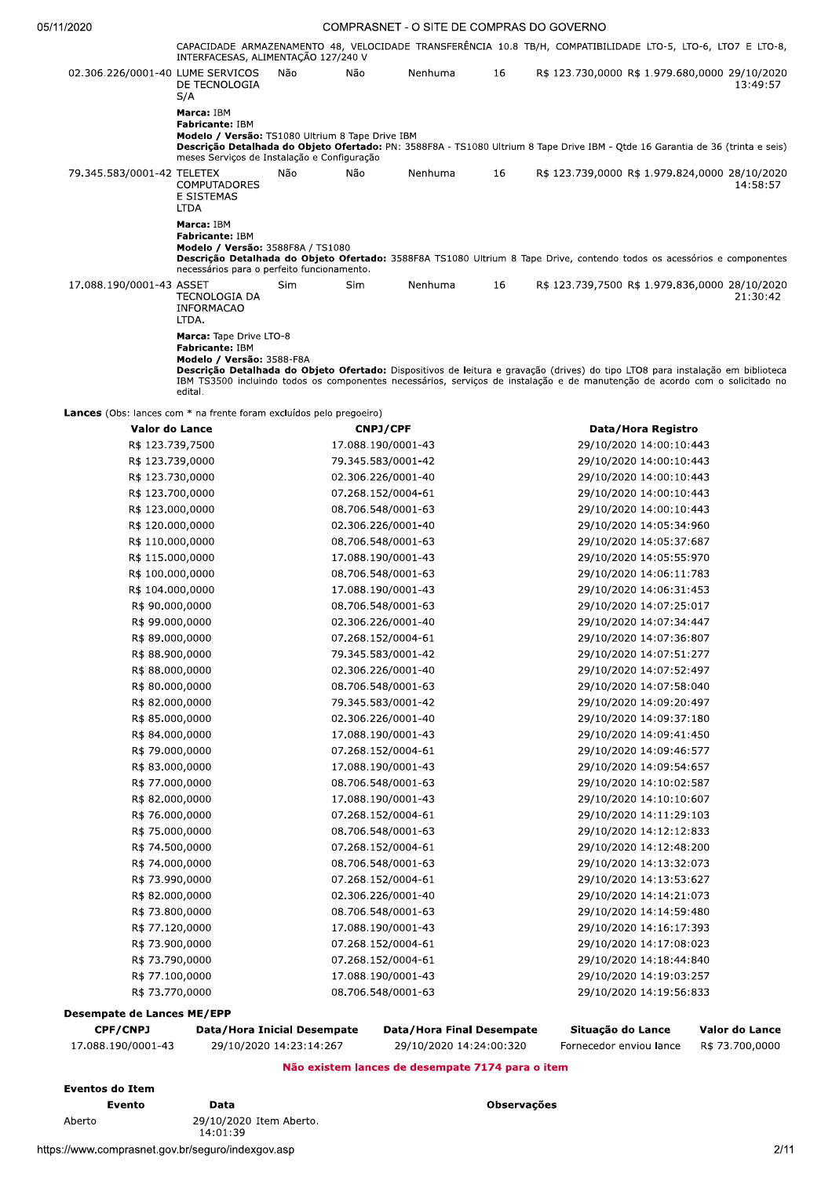|                                                                     | INTERFACESAS, ALIMENTAÇÃO 127/240 V                                                                                                     |            |                    |         |    | CAPACIDADE ARMAZENAMENTO 48, VELOCIDADE TRANSFERÊNCIA 10.8 TB/H, COMPATIBILIDADE LTO-5, LTO-6, LTO7 E LTO-8,                                                                                                                                                  |  |
|---------------------------------------------------------------------|-----------------------------------------------------------------------------------------------------------------------------------------|------------|--------------------|---------|----|---------------------------------------------------------------------------------------------------------------------------------------------------------------------------------------------------------------------------------------------------------------|--|
| 02.306.226/0001-40 LUME SERVICOS                                    | DE TECNOLOGIA<br>S/A                                                                                                                    | Não        | Não                | Nenhuma | 16 | R\$ 123.730,0000 R\$ 1.979.680,0000 29/10/2020<br>13:49:57                                                                                                                                                                                                    |  |
|                                                                     | Marca: IBM<br><b>Fabricante: IBM</b><br>Modelo / Versão: TS1080 Ultrium 8 Tape Drive IBM<br>meses Serviços de Instalação e Configuração |            |                    |         |    | Descrição Detalhada do Objeto Ofertado: PN: 3588F8A - TS1080 Ultrium 8 Tape Drive IBM - Otde 16 Garantia de 36 (trinta e seis)                                                                                                                                |  |
| 79.345.583/0001-42 TELETEX                                          | <b>COMPUTADORES</b><br>E SISTEMAS<br><b>LTDA</b>                                                                                        | Não        | Não                | Nenhuma | 16 | R\$ 123.739,0000 R\$ 1.979.824,0000 28/10/2020<br>14:58:57                                                                                                                                                                                                    |  |
|                                                                     | Marca: IBM<br>Fabricante: IBM<br>Modelo / Versão: 3588F8A / TS1080<br>necessários para o perfeito funcionamento.                        |            |                    |         |    | Descrição Detalhada do Objeto Ofertado: 3588F8A TS1080 Ultrium 8 Tape Drive, contendo todos os acessórios e componentes                                                                                                                                       |  |
| 17.088.190/0001-43 ASSET                                            | TECNOLOGIA DA<br><b>INFORMACAO</b><br>LTDA.                                                                                             | <b>Sim</b> | Sim                | Nenhuma | 16 | R\$ 123.739,7500 R\$ 1.979.836,0000 28/10/2020<br>21:30:42                                                                                                                                                                                                    |  |
|                                                                     | Marca: Tape Drive LTO-8<br>Fabricante: IBM<br>Modelo / Versão: 3588-F8A<br>edital.                                                      |            |                    |         |    | Descrição Detalhada do Objeto Ofertado: Dispositivos de leitura e gravação (drives) do tipo LTO8 para instalação em biblioteca<br>IBM TS3500 incluindo todos os componentes necessários, serviços de instalação e de manutenção de acordo com o solicitado no |  |
| Lances (Obs: lances com * na frente foram excluídos pelo pregoeiro) |                                                                                                                                         |            |                    |         |    |                                                                                                                                                                                                                                                               |  |
| Valor do Lance                                                      |                                                                                                                                         |            | <b>CNPJ/CPF</b>    |         |    | Data/Hora Registro                                                                                                                                                                                                                                            |  |
| R\$ 123 739 7500                                                    |                                                                                                                                         |            | 17 088 190/0001-43 |         |    | $29/10/2020$ 14:00:10:443                                                                                                                                                                                                                                     |  |

| Valor do Lance                    | CNPJ/CPF           | Data/Hora Registro      |
|-----------------------------------|--------------------|-------------------------|
| R\$ 123.739,7500                  | 17.088.190/0001-43 | 29/10/2020 14:00:10:443 |
| R\$ 123.739,0000                  | 79.345.583/0001-42 | 29/10/2020 14:00:10:443 |
| R\$ 123.730,0000                  | 02.306.226/0001-40 | 29/10/2020 14:00:10:443 |
| R\$ 123.700,0000                  | 07.268.152/0004-61 | 29/10/2020 14:00:10:443 |
| R\$ 123.000,0000                  | 08.706.548/0001-63 | 29/10/2020 14:00:10:443 |
| R\$ 120.000,0000                  | 02.306.226/0001-40 | 29/10/2020 14:05:34:960 |
| R\$ 110.000,0000                  | 08.706.548/0001-63 | 29/10/2020 14:05:37:687 |
| R\$ 115.000,0000                  | 17.088.190/0001-43 | 29/10/2020 14:05:55:970 |
| R\$ 100.000,0000                  | 08.706.548/0001-63 | 29/10/2020 14:06:11:783 |
| R\$ 104.000,0000                  | 17.088.190/0001-43 | 29/10/2020 14:06:31:453 |
| R\$ 90.000,0000                   | 08.706.548/0001-63 | 29/10/2020 14:07:25:017 |
| R\$ 99.000,0000                   | 02.306.226/0001-40 | 29/10/2020 14:07:34:447 |
| R\$ 89.000,0000                   | 07.268.152/0004-61 | 29/10/2020 14:07:36:807 |
| R\$ 88.900,0000                   | 79.345.583/0001-42 | 29/10/2020 14:07:51:277 |
| R\$ 88.000,0000                   | 02.306.226/0001-40 | 29/10/2020 14:07:52:497 |
| R\$ 80.000,0000                   | 08.706.548/0001-63 | 29/10/2020 14:07:58:040 |
| R\$ 82.000,0000                   | 79.345.583/0001-42 | 29/10/2020 14:09:20:497 |
| R\$ 85.000,0000                   | 02.306.226/0001-40 | 29/10/2020 14:09:37:180 |
| R\$ 84.000,0000                   | 17.088.190/0001-43 | 29/10/2020 14:09:41:450 |
| R\$ 79.000,0000                   | 07.268.152/0004-61 | 29/10/2020 14:09:46:577 |
| R\$ 83.000,0000                   | 17.088.190/0001-43 | 29/10/2020 14:09:54:657 |
| R\$ 77.000,0000                   | 08.706.548/0001-63 | 29/10/2020 14:10:02:587 |
| R\$ 82.000,0000                   | 17.088.190/0001-43 | 29/10/2020 14:10:10:607 |
| R\$ 76.000,0000                   | 07.268.152/0004-61 | 29/10/2020 14:11:29:103 |
| R\$ 75.000,0000                   | 08.706.548/0001-63 | 29/10/2020 14:12:12:833 |
| R\$ 74.500,0000                   | 07.268.152/0004-61 | 29/10/2020 14:12:48:200 |
| R\$ 74.000,0000                   | 08.706.548/0001-63 | 29/10/2020 14:13:32:073 |
| R\$ 73.990,0000                   | 07.268.152/0004-61 | 29/10/2020 14:13:53:627 |
| R\$ 82.000,0000                   | 02.306.226/0001-40 | 29/10/2020 14:14:21:073 |
| R\$ 73.800,0000                   | 08.706.548/0001-63 | 29/10/2020 14:14:59:480 |
| R\$ 77.120,0000                   | 17.088.190/0001-43 | 29/10/2020 14:16:17:393 |
| R\$ 73.900,0000                   | 07.268.152/0004-61 | 29/10/2020 14:17:08:023 |
| R\$ 73.790,0000                   | 07.268.152/0004-61 | 29/10/2020 14:18:44:840 |
| R\$ 77.100,0000                   | 17.088.190/0001-43 | 29/10/2020 14:19:03:257 |
| R\$ 73.770,0000                   | 08.706.548/0001-63 | 29/10/2020 14:19:56:833 |
| <b>Desempate de Lances ME/EPP</b> |                    |                         |

| <b>CPF/CNPJ</b>                                  | Data/Hora Inicial Desempate | Data/Hora Final Desempate | Situacão do Lance       | Valor do Lance  |  |  |  |
|--------------------------------------------------|-----------------------------|---------------------------|-------------------------|-----------------|--|--|--|
| 17.088.190/0001-43                               | 29/10/2020 14:23:14:267     | 29/10/2020 14:24:00:320   | Fornecedor enviou lance | R\$ 73.700,0000 |  |  |  |
| Não existem lances de desempate 7174 para o item |                             |                           |                         |                 |  |  |  |

**Eventos do Item** Evento Aberto

Data 29/10/2020 Item Aberto. 14:01:39

Observações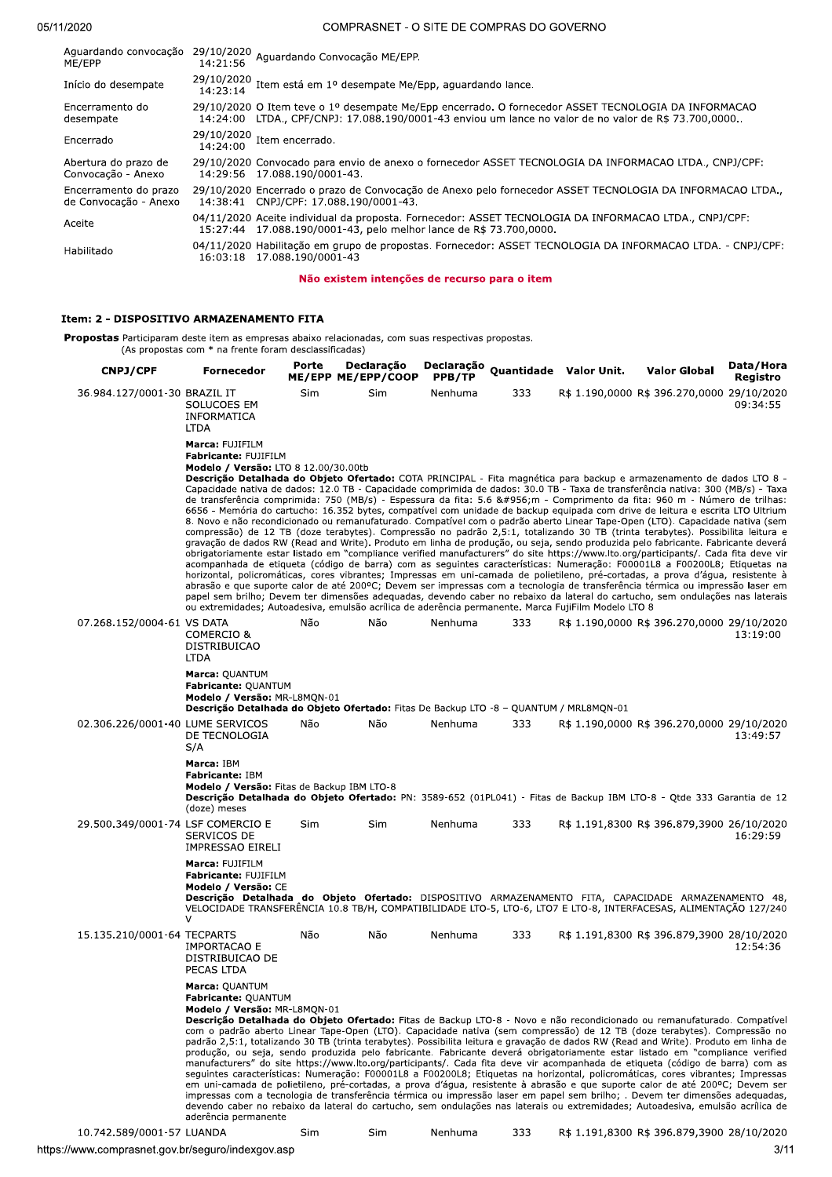| Aguardando convocação<br>ME/EPP                | 29/10/2020 Aguardando Convocação ME/EPP.<br>14:21:56                                                                                                                                                           |
|------------------------------------------------|----------------------------------------------------------------------------------------------------------------------------------------------------------------------------------------------------------------|
| Início do desempate                            | 29/10/2020 Item está em 1º desempate Me/Epp, aguardando lance.                                                                                                                                                 |
| Encerramento do<br>desempate                   | 29/10/2020 O Item teve o 1º desempate Me/Epp encerrado. O fornecedor ASSET TECNOLOGIA DA INFORMACAO<br>LTDA., CPF/CNPJ: 17.088.190/0001-43 enviou um lance no valor de no valor de R\$ 73.700,0000<br>14:24:00 |
| Encerrado                                      | $29/10/2020$ Item encerrado.<br>14:24:00                                                                                                                                                                       |
| Abertura do prazo de<br>Convocação - Anexo     | 29/10/2020 Convocado para envio de anexo o fornecedor ASSET TECNOLOGIA DA INFORMACAO LTDA., CNPJ/CPF:<br>14:29:56 17.088.190/0001-43.                                                                          |
| Encerramento do prazo<br>de Convocação - Anexo | 29/10/2020 Encerrado o prazo de Convocação de Anexo pelo fornecedor ASSET TECNOLOGIA DA INFORMACAO LTDA.,<br>14:38:41 CNPJ/CPF: 17.088.190/0001-43.                                                            |
| Aceite                                         | 04/11/2020 Aceite individual da proposta. Fornecedor: ASSET TECNOLOGIA DA INFORMACAO LTDA., CNPJ/CPF:<br>15:27:44 17.088.190/0001-43, pelo melhor lance de R\$ 73.700,0000.                                    |
| Habilitado                                     | 04/11/2020 Habilitação em grupo de propostas. Fornecedor: ASSET TECNOLOGIA DA INFORMACAO LTDA. - CNPJ/CPF:<br>16:03:18 17.088.190/0001-43                                                                      |
|                                                |                                                                                                                                                                                                                |

Não existem intenções de recurso para o item

#### Item: 2 - DISPOSITIVO ARMAZENAMENTO FITA

Propostas Participaram deste item as empresas abaixo relacionadas, com suas respectivas propostas. (As propostas com  $*$  na frente foram desclassificadas)

produção, ou seja, sendo produzida pelo fabricante. Fabricante deverá obrigadamente estar listado em "compliance verified<br>produção, ou seja, sendo produzida pelo fabricante. Fabricante deverá obrigadamente estar listado em cnpj/CPF Fornecedor Porte Declaração Declaração Quantidade Valor Unit. Valor Global Data/Hora<br>Registro بورور ME/EPP ME/EPP/COOP PPB/TP 36.984.127/0001-30 BRAZIL IT SOLUCOES EM INFORMATICA<br>LTDA BRAZIL IT SIM SIM Nennuma 333 R\$ 1.190,0000 R\$ 396.270,0000 29/10/2020<br>SOLUCOES EM 09:34:55<br>INFORMATICA<br>LTDA Marca: FUJIFILM Fabricante: FUJIFILM Modelo / Versão: LTO 8 12.00/30.00tb Descrição Detalhada do Objeto Ofertado: COTA PRINCIPAL - Fita magnética para backup e armazenamento de dados LTO 8 -Capacidade nativa de dados: 12.0 TB - Capacidade comprimida de dados: 30.0 TB - Taxa de transferencia nativa: 300 (MB/S) - Taxa<br>de transferência comprimida: 750 (MB/s) - Espessura da fita: 5.6 &#956;m - Comprimento da fita 6656 - Memória do cartucho: 16.352 bytes, compatível com unidade de backup equipada com drive de leitura e escrita LTO Ultrium 8. Novo e não recondicionado ou remanufaturado. Compatível com o padrão aberto Linear Tape-Open (LTO). Capacidade nativa (sem compressão) de 12 TB (doze terabytes). Compressão no padrão 2,5:1, totalizando 30 TB (trinta terabytes). Possibilita leitura e<br>gravação de dados RW (Read and Write). Produto em linha de produção, ou seja, sendo produzida p acompanhada de etiqueta (código de barra) com as seguintes características: Numeração: F00001L8 a F00200L8; Etiquetas na norizontal, policromáticas, cores vibrantes; Impressas em uni-camada de polietileno, pre-cortadas, a prova d'agua, resistente a<br>abrasão e que suporte calor de até 200ºC; Devem ser impressas com a tecnologia de transferênci papel sem brilho; Devem ter dimensões adequadas, devendo caber no rebaixo da lateral do cartucho, sem ondulações nas laterais .<br>20 extremidades; Autoadesiva, emulsão acrílica de aderência permanente. Marca FujiFilm Modelo LTO 8 07.268.152/0004-61 VS DATA COMERCIO & DISTRIBUICAO<br>LTDA XVZ+ W72 W72 WI1e-K. NNN \a3>E>=?Q????\a3N=CE<^?Q????<=:>?:<?<? >NA>=A?? Marca: QUANTUM Fabricante: QUANTUM Modelo / Versão: MR-L8MQN-01 Descrição Detalhada do Objeto Ofertado: Fitas De Backup LTO -8 - QUANTUM / MRL8MQN-01 02.306.226/0001-40 LUME SERVICOS DE TECNOLOGIA<br>S/A U:+ W72 W72 WI1e-K. NNN \a3>E>=?Q????\a3N=CE<^?Q????<=:>?:<?<? >NA@=AB^ Marca: IBM Fabricante: IBM Modelo / Versão: Fitas de Backup IBM LTO-8 Descrição Detalhada do Objeto Ofertado: PN: 3589-652 (01PL041) - Fitas de Backup IBM LTO-8 - Qtde 333 Garantia de 12 (doze) meses 29.500.349/0001-74 LSF COMERCIO E SERVICOS DE<br>IMPRESSAO EIRELI LSF COMERCIO E SIM SIM Nennuma 333 R\$ 1.191,8300 R\$ 396.879,3900 26/10/2020<br>SERVICOS DE<br>IMPRESSAO EIRELI 16:29:59 Marca: FUJIFILM Fabricante: FUJIFILM Modelo / Versão: CE Descrição Detalhada do Objeto Ofertado: DISPOSITIVO ARMAZENAMENTO FITA, CAPACIDADE ARMAZENAMENTO 48, VELOCIDADE TRANSFERÊNCIA 10.8 TB/H, COMPATIBILIDADE LTO-5, LTO-6, LTO7 E LTO-8, INTERFACESAS, ALIMENTAÇÃO 127/240 ± 15.135.210/0001-64 TECPARTS IMPORTACAO E DISTRIBUICAO DE<br>PECAS LTDA TECPARTS Nao Nao Nao Nenhuma 333 R\$1.191,8300 R\$396.879,3900 28/10/2020<br>IMPORTACAO E 12:54:36<br>DISTRIBUICAO DE<br>PECAS LTDA Marca: OUANTUM Fabricante: OUANTUM Modelo / Versão: MR-L8MON-01 Descrição Detalhada do Objeto Ofertado: Fitas de Backup LTO-8 - Novo e não recondicionado ou remanufaturado. Compatível com o padrão aberto Linear Tape-Open (LTO). Capacidade nativa (sem compressão) de 12 TB (doze terabytes). Compressão no<br>padrão 2,5:1, totalizando 30 TB (trinta terabytes). Possibilita leitura e gravação de dados RW (Read a K.1-T.4M-/I/Joseph Joseph Multiple Annual Company and The Cada fita deve vir acompanhada de etiqueta (código de barra) com as seguintes características: Numeração: F00001L8 a F00200L8; Etiquetas na horizontal, policromáticas, cores vibrantes; Impressas em uni-camada de polletileno, pre-cortadas, a prova d'agua, resistente a abrasão e que suporte calor de até 200°C; Devem ser<br>impressas com a tecnologia de transferência térmica ou impressão laser em papel sem brilho; . Dev devendo caber no rebaixo da lateral do cartucho, sem ondulações nas laterais ou extremidades; Autoadesiva, emulsão acrílica de aderência permanente

10.742.589/0001-57 LUANDA Sim Sim Nenhuma 333 R\$ 1.191,8300 R\$ 396.879,3900 28/10/2020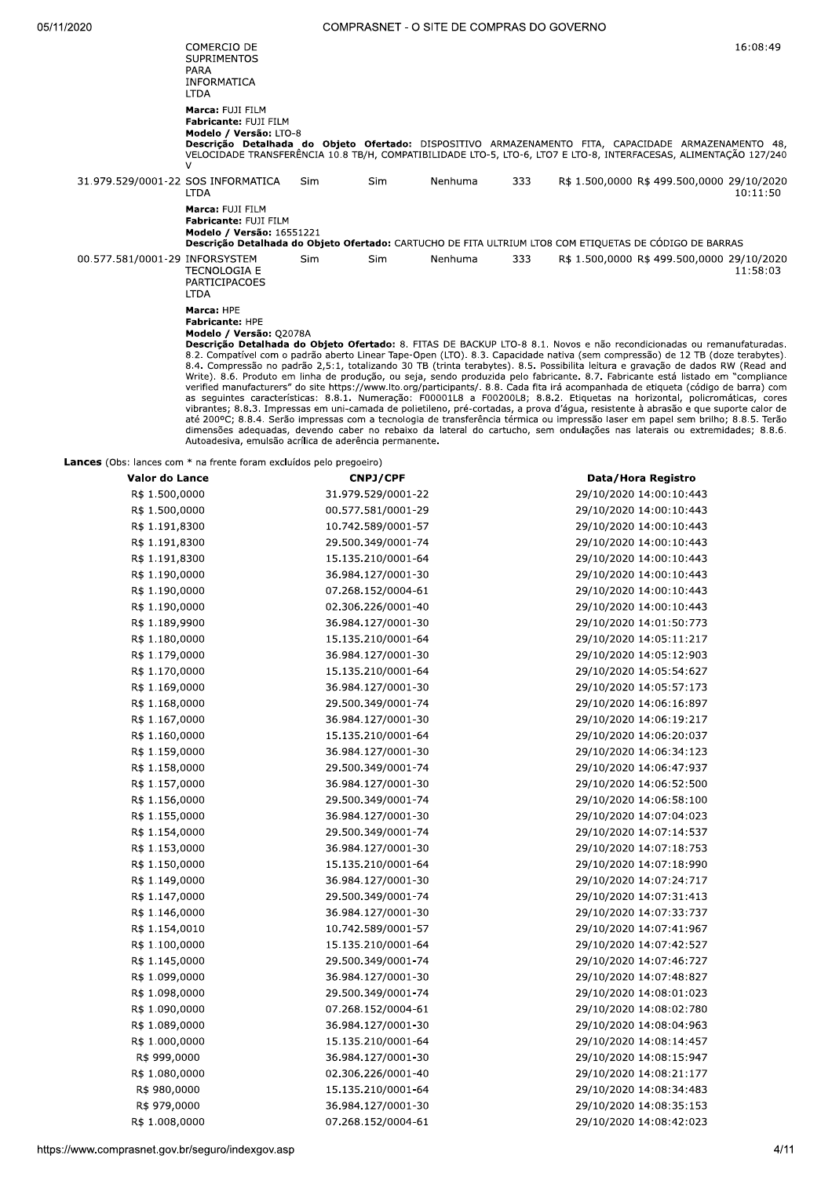|                                    | COMERCIO DE<br><b>SUPRIMENTOS</b><br>PARA<br>INFORMATICA<br><b>LTDA</b>                                                                                                                                                                                                                                                                                                                                                                                                                                                                                                                                                                                                                                                                                                                                                                                                                                                                                                                                                                                                                                                                                                                                                                                                                                                                   |            |     |         |     |                                            | 16:08:49 |
|------------------------------------|-------------------------------------------------------------------------------------------------------------------------------------------------------------------------------------------------------------------------------------------------------------------------------------------------------------------------------------------------------------------------------------------------------------------------------------------------------------------------------------------------------------------------------------------------------------------------------------------------------------------------------------------------------------------------------------------------------------------------------------------------------------------------------------------------------------------------------------------------------------------------------------------------------------------------------------------------------------------------------------------------------------------------------------------------------------------------------------------------------------------------------------------------------------------------------------------------------------------------------------------------------------------------------------------------------------------------------------------|------------|-----|---------|-----|--------------------------------------------|----------|
|                                    | Marca: FUJI FILM<br>Fabricante: FUJI FILM<br>Modelo / Versão: LTO-8<br>Descrição Detalhada do Objeto Ofertado: DISPOSITIVO ARMAZENAMENTO FITA, CAPACIDADE ARMAZENAMENTO 48,<br>VELOCIDADE TRANSFERÊNCIA 10.8 TB/H, COMPATIBILIDADE LTO-5, LTO-6, LTO7 E LTO-8, INTERFACESAS, ALIMENTACÃO 127/240<br>$\mathcal{U}$                                                                                                                                                                                                                                                                                                                                                                                                                                                                                                                                                                                                                                                                                                                                                                                                                                                                                                                                                                                                                         |            |     |         |     |                                            |          |
| 31.979.529/0001-22 SOS INFORMATICA | <b>LTDA</b>                                                                                                                                                                                                                                                                                                                                                                                                                                                                                                                                                                                                                                                                                                                                                                                                                                                                                                                                                                                                                                                                                                                                                                                                                                                                                                                               | <b>Sim</b> | Sim | Nenhuma | 333 | R\$ 1.500,0000 R\$ 499.500,0000 29/10/2020 | 10:11:50 |
|                                    | Marca: FUJI FILM<br>Fabricante: FUJI FILM<br>Modelo / Versão: 16551221<br>Descrição Detalhada do Objeto Ofertado: CARTUCHO DE FITA ULTRIUM LTO8 COM ETIQUETAS DE CÓDIGO DE BARRAS                                                                                                                                                                                                                                                                                                                                                                                                                                                                                                                                                                                                                                                                                                                                                                                                                                                                                                                                                                                                                                                                                                                                                         |            |     |         |     |                                            |          |
| 00.577.581/0001-29 INFORSYSTEM     | <b>TECNOLOGIA E</b><br><b>PARTICIPACOES</b><br><b>LTDA</b>                                                                                                                                                                                                                                                                                                                                                                                                                                                                                                                                                                                                                                                                                                                                                                                                                                                                                                                                                                                                                                                                                                                                                                                                                                                                                | Sim.       | Sim | Nenhuma | 333 | R\$ 1.500,0000 R\$ 499.500,0000 29/10/2020 | 11:58:03 |
|                                    | Marca: HPE<br><b>Fabricante: HPE</b><br>Modelo / Versão: Q2078A<br>Descrição Detalhada do Objeto Ofertado: 8. FITAS DE BACKUP LTO-8 8.1. Novos e não recondicionadas ou remanufaturadas.<br>8.2. Compatível com o padrão aberto Linear Tape-Open (LTO). 8.3. Capacidade nativa (sem compressão) de 12 TB (doze terabytes).<br>8.4. Compressão no padrão 2,5:1, totalizando 30 TB (trinta terabytes). 8.5. Possibilita leitura e gravação de dados RW (Read and<br>Write). 8.6. Produto em linha de produção, ou seja, sendo produzida pelo fabricante. 8.7. Fabricante está listado em "compliance<br>verified manufacturers" do site https://www.lto.org/participants/. 8.8. Cada fita irá acompanhada de etiqueta (código de barra) com<br>as seguintes características: 8.8.1. Numeração: F00001L8 a F00200L8; 8.8.2. Etiquetas na horizontal, policromáticas, cores<br>vibrantes; 8.8.3. Impressas em uni-camada de polietileno, pré-cortadas, a prova d'água, resistente à abrasão e que suporte calor de<br>até 200°C; 8.8.4. Serão impressas com a tecnologia de transferência térmica ou impressão laser em papel sem brilho; 8.8.5. Terão<br>dimensões adequadas, devendo caber no rebaixo da lateral do cartucho, sem ondulações nas laterais ou extremidades; 8.8.6.<br>Autoadesiva, emulsão acrílica de aderência permanente. |            |     |         |     |                                            |          |

Lances (Obs: lances com \* na frente foram excluídos pelo pregoeiro)

| Valor do Lance | <b>CNPJ/CPF</b>    | Data/Hora Registro      |
|----------------|--------------------|-------------------------|
| R\$ 1.500,0000 | 31.979.529/0001-22 | 29/10/2020 14:00:10:443 |
| R\$ 1.500,0000 | 00.577.581/0001-29 | 29/10/2020 14:00:10:443 |
| R\$ 1.191,8300 | 10.742.589/0001-57 | 29/10/2020 14:00:10:443 |
| R\$ 1.191,8300 | 29.500.349/0001-74 | 29/10/2020 14:00:10:443 |
| R\$ 1.191,8300 | 15.135.210/0001-64 | 29/10/2020 14:00:10:443 |
| R\$ 1.190,0000 | 36.984.127/0001-30 | 29/10/2020 14:00:10:443 |
| R\$ 1.190,0000 | 07.268.152/0004-61 | 29/10/2020 14:00:10:443 |
| R\$ 1.190,0000 | 02.306.226/0001-40 | 29/10/2020 14:00:10:443 |
| R\$ 1.189,9900 | 36.984.127/0001-30 | 29/10/2020 14:01:50:773 |
| R\$ 1.180,0000 | 15.135.210/0001-64 | 29/10/2020 14:05:11:217 |
| R\$ 1.179,0000 | 36.984.127/0001-30 | 29/10/2020 14:05:12:903 |
| R\$ 1.170,0000 | 15.135.210/0001-64 | 29/10/2020 14:05:54:627 |
| R\$ 1.169,0000 | 36.984.127/0001-30 | 29/10/2020 14:05:57:173 |
| R\$ 1.168,0000 | 29.500.349/0001-74 | 29/10/2020 14:06:16:897 |
| R\$ 1.167,0000 | 36.984.127/0001-30 | 29/10/2020 14:06:19:217 |
| R\$ 1.160,0000 | 15.135.210/0001-64 | 29/10/2020 14:06:20:037 |
| R\$ 1.159,0000 | 36.984.127/0001-30 | 29/10/2020 14:06:34:123 |
| R\$ 1.158,0000 | 29.500.349/0001-74 | 29/10/2020 14:06:47:937 |
| R\$ 1.157,0000 | 36.984.127/0001-30 | 29/10/2020 14:06:52:500 |
| R\$ 1.156,0000 | 29.500.349/0001-74 | 29/10/2020 14:06:58:100 |
| R\$ 1.155,0000 | 36.984.127/0001-30 | 29/10/2020 14:07:04:023 |
| R\$ 1.154,0000 | 29.500.349/0001-74 | 29/10/2020 14:07:14:537 |
| R\$ 1.153,0000 | 36.984.127/0001-30 | 29/10/2020 14:07:18:753 |
| R\$ 1.150,0000 | 15.135.210/0001-64 | 29/10/2020 14:07:18:990 |
| R\$ 1.149,0000 | 36.984.127/0001-30 | 29/10/2020 14:07:24:717 |
| R\$ 1.147,0000 | 29.500.349/0001-74 | 29/10/2020 14:07:31:413 |
| R\$ 1.146,0000 | 36.984.127/0001-30 | 29/10/2020 14:07:33:737 |
| R\$ 1.154,0010 | 10.742.589/0001-57 | 29/10/2020 14:07:41:967 |
| R\$ 1.100,0000 | 15.135.210/0001-64 | 29/10/2020 14:07:42:527 |
| R\$ 1.145,0000 | 29.500.349/0001-74 | 29/10/2020 14:07:46:727 |
| R\$ 1.099,0000 | 36.984.127/0001-30 | 29/10/2020 14:07:48:827 |
| R\$ 1.098,0000 | 29.500.349/0001-74 | 29/10/2020 14:08:01:023 |
| R\$ 1.090,0000 | 07.268.152/0004-61 | 29/10/2020 14:08:02:780 |
| R\$ 1.089,0000 | 36.984.127/0001-30 | 29/10/2020 14:08:04:963 |
| R\$ 1.000,0000 | 15.135.210/0001-64 | 29/10/2020 14:08:14:457 |
| R\$ 999,0000   | 36.984.127/0001-30 | 29/10/2020 14:08:15:947 |
| R\$ 1.080,0000 | 02.306.226/0001-40 | 29/10/2020 14:08:21:177 |
| R\$ 980,0000   | 15.135.210/0001-64 | 29/10/2020 14:08:34:483 |
| R\$ 979,0000   | 36.984.127/0001-30 | 29/10/2020 14:08:35:153 |
| R\$ 1.008,0000 | 07.268.152/0004-61 | 29/10/2020 14:08:42:023 |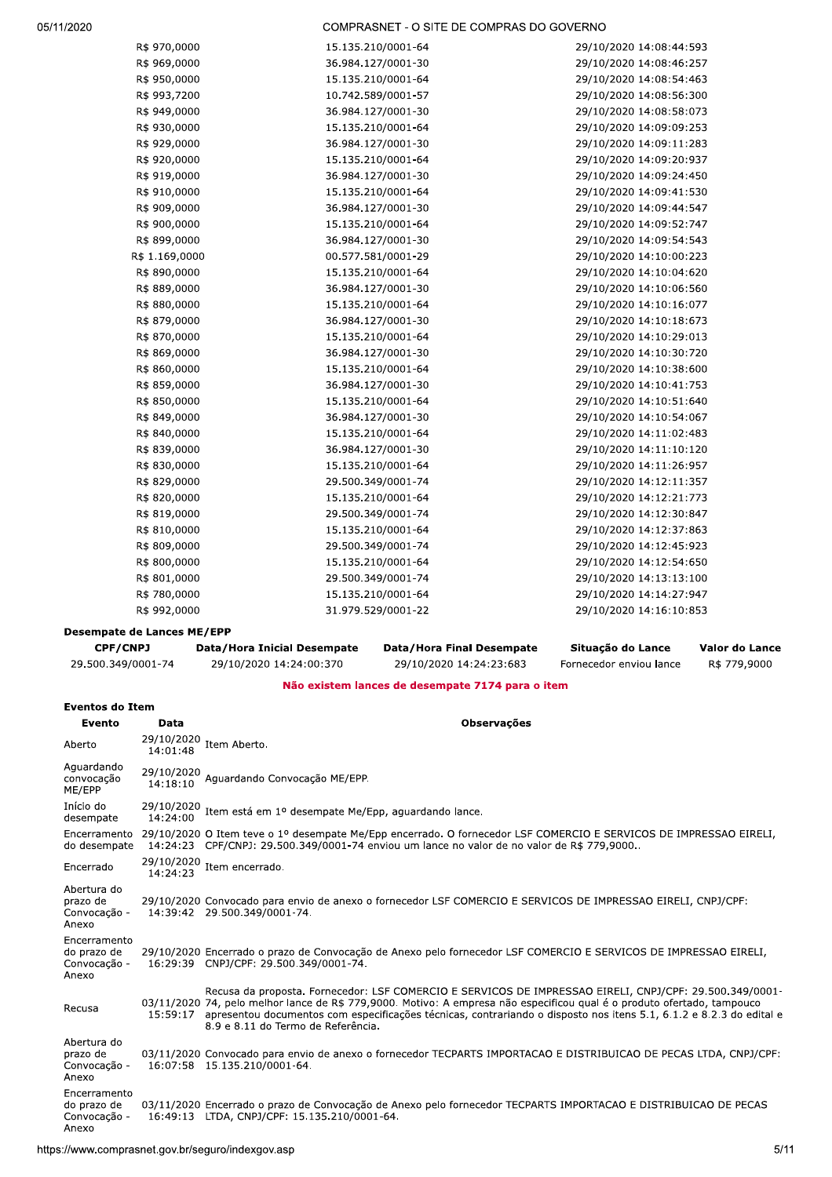COMPRASNET - O SITE DE COMPRAS DO GOVERNO

| R\$ 970,0000   | 15.135.210/0001-64 | 29/10/2020 14:08:44:593 |
|----------------|--------------------|-------------------------|
| R\$ 969,0000   | 36.984.127/0001-30 | 29/10/2020 14:08:46:257 |
| R\$ 950,0000   | 15.135.210/0001-64 | 29/10/2020 14:08:54:463 |
| R\$ 993,7200   | 10.742.589/0001-57 | 29/10/2020 14:08:56:300 |
| R\$ 949,0000   | 36.984.127/0001-30 | 29/10/2020 14:08:58:073 |
| R\$ 930,0000   | 15.135.210/0001-64 | 29/10/2020 14:09:09:253 |
| R\$ 929,0000   | 36.984.127/0001-30 | 29/10/2020 14:09:11:283 |
| R\$ 920,0000   | 15.135.210/0001-64 | 29/10/2020 14:09:20:937 |
| R\$ 919,0000   | 36.984.127/0001-30 | 29/10/2020 14:09:24:450 |
| R\$ 910,0000   | 15.135.210/0001-64 | 29/10/2020 14:09:41:530 |
| R\$ 909,0000   | 36.984.127/0001-30 | 29/10/2020 14:09:44:547 |
| R\$ 900,0000   | 15.135.210/0001-64 | 29/10/2020 14:09:52:747 |
| R\$ 899,0000   | 36.984.127/0001-30 | 29/10/2020 14:09:54:543 |
| R\$ 1.169,0000 | 00.577.581/0001-29 | 29/10/2020 14:10:00:223 |
| R\$ 890,0000   | 15.135.210/0001-64 | 29/10/2020 14:10:04:620 |
| R\$ 889,0000   | 36.984.127/0001-30 | 29/10/2020 14:10:06:560 |
| R\$ 880,0000   | 15.135.210/0001-64 | 29/10/2020 14:10:16:077 |
| R\$ 879,0000   | 36.984.127/0001-30 | 29/10/2020 14:10:18:673 |
| R\$ 870,0000   | 15.135.210/0001-64 | 29/10/2020 14:10:29:013 |
| R\$ 869,0000   | 36.984.127/0001-30 | 29/10/2020 14:10:30:720 |
| R\$ 860,0000   | 15.135.210/0001-64 | 29/10/2020 14:10:38:600 |
| R\$ 859,0000   | 36.984.127/0001-30 | 29/10/2020 14:10:41:753 |
| R\$ 850,0000   | 15.135.210/0001-64 | 29/10/2020 14:10:51:640 |
| R\$ 849,0000   | 36.984.127/0001-30 | 29/10/2020 14:10:54:067 |
| R\$ 840,0000   | 15.135.210/0001-64 | 29/10/2020 14:11:02:483 |
| R\$ 839,0000   | 36.984.127/0001-30 | 29/10/2020 14:11:10:120 |
| R\$ 830,0000   | 15.135.210/0001-64 | 29/10/2020 14:11:26:957 |
| R\$ 829,0000   | 29.500.349/0001-74 | 29/10/2020 14:12:11:357 |
| R\$ 820,0000   | 15.135.210/0001-64 | 29/10/2020 14:12:21:773 |
| R\$ 819,0000   | 29.500.349/0001-74 | 29/10/2020 14:12:30:847 |
| R\$ 810,0000   | 15.135.210/0001-64 | 29/10/2020 14:12:37:863 |
| R\$ 809,0000   | 29.500.349/0001-74 | 29/10/2020 14:12:45:923 |
| R\$ 800,0000   | 15.135.210/0001-64 | 29/10/2020 14:12:54:650 |
| R\$ 801,0000   | 29.500.349/0001-74 | 29/10/2020 14:13:13:100 |
| R\$ 780,0000   | 15.135.210/0001-64 | 29/10/2020 14:14:27:947 |
| R\$ 992,0000   | 31.979.529/0001-22 | 29/10/2020 14:16:10:853 |
|                |                    |                         |

## **Desempate de Lances ME/EPP**

| <b>CPF/CNPJ</b>    | Data/Hora Inicial Desempate | Data/Hora Final Desempate | Situacão do Lance       | Valor do Lance |
|--------------------|-----------------------------|---------------------------|-------------------------|----------------|
| 29.500.349/0001-74 | 29/10/2020 14:24:00:370     | 29/10/2020 14:24:23:683   | Fornecedor enviou lance | R\$ 779,9000   |

Não existem lances de desempate 7174 para o item

# **Eventos do Item**

| Evento                                               | Data                   | <b>Observações</b>                                                                                                                                                                                                                                                                                                                                                                                       |
|------------------------------------------------------|------------------------|----------------------------------------------------------------------------------------------------------------------------------------------------------------------------------------------------------------------------------------------------------------------------------------------------------------------------------------------------------------------------------------------------------|
| Aberto                                               | 29/10/2020<br>14:01:48 | Item Aberto.                                                                                                                                                                                                                                                                                                                                                                                             |
| Aquardando<br>convocação<br>ME/EPP                   | 29/10/2020<br>14:18:10 | Aquardando Convocação ME/EPP.                                                                                                                                                                                                                                                                                                                                                                            |
| Início do<br>desempate                               | 29/10/2020<br>14:24:00 | Item está em 1º desempate Me/Epp, aguardando lance.                                                                                                                                                                                                                                                                                                                                                      |
| do desempate                                         |                        | Encerramento 29/10/2020 O Item teve o 1º desempate Me/Epp encerrado. O fornecedor LSF COMERCIO E SERVICOS DE IMPRESSAO EIRELI,<br>14:24:23 CPF/CNPJ: 29.500.349/0001-74 enviou um lance no valor de no valor de R\$ 779,9000                                                                                                                                                                             |
| Encerrado                                            | 29/10/2020<br>14:24:23 | Item encerrado.                                                                                                                                                                                                                                                                                                                                                                                          |
| Abertura do<br>prazo de<br>Convocação -<br>Anexo     |                        | 29/10/2020 Convocado para envio de anexo o fornecedor LSF COMERCIO E SERVICOS DE IMPRESSAO EIRELI, CNPJ/CPF:<br>14:39:42 29.500.349/0001-74.                                                                                                                                                                                                                                                             |
| Encerramento<br>do prazo de<br>Convocação -<br>Anexo |                        | 29/10/2020 Encerrado o prazo de Convocação de Anexo pelo fornecedor LSF COMERCIO E SERVICOS DE IMPRESSAO EIRELI,<br>16:29:39 CNPJ/CPF: 29.500.349/0001-74.                                                                                                                                                                                                                                               |
| Recusa                                               |                        | Recusa da proposta. Fornecedor: LSF COMERCIO E SERVICOS DE IMPRESSAO EIRELI, CNPJ/CPF: 29.500.349/0001-<br>03/11/2020 74, pelo melhor lance de R\$ 779,9000. Motivo: A empresa não especificou qual é o produto ofertado, tampouco<br>15:59:17 apresentou documentos com especificações técnicas, contrariando o disposto nos itens 5.1, 6.1.2 e 8.2.3 do edital e<br>8.9 e 8.11 do Termo de Referência. |
| Abertura do<br>prazo de<br>Convocação -<br>Anexo     |                        | 03/11/2020 Convocado para envio de anexo o fornecedor TECPARTS IMPORTACAO E DISTRIBUICAO DE PECAS LTDA, CNPJ/CPF:<br>16:07:58 15.135.210/0001-64.                                                                                                                                                                                                                                                        |
| Encerramento<br>do prazo de<br>Convocação -<br>Anexo |                        | 03/11/2020 Encerrado o prazo de Convocação de Anexo pelo fornecedor TECPARTS IMPORTACAO E DISTRIBUICAO DE PECAS<br>16:49:13 LTDA, CNPJ/CPF: 15.135.210/0001-64.                                                                                                                                                                                                                                          |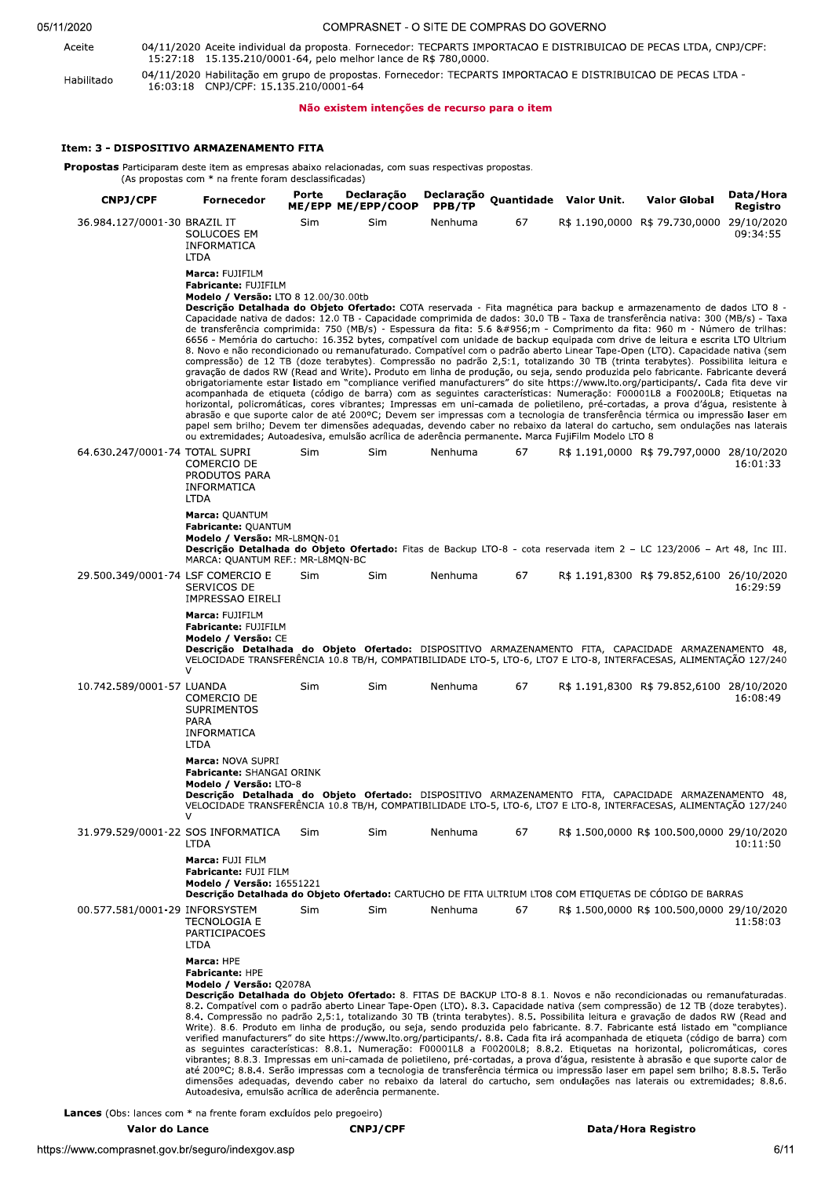| 05/11/2020 |  |
|------------|--|
|------------|--|

COMPRASNET - O SITE DE COMPRAS DO GOVERNO 04/11/2020 Aceite individual da proposta. Fornecedor: TECPARTS IMPORTACAO E DISTRIBUICAO DE PECAS LTDA, CNPJ/CPF:

Aceite Habilitado

15:27:18 15.135.210/0001-64, pelo melhor lance de R\$ 780,0000. 04/11/2020 Habilitação em grupo de propostas. Fornecedor: TECPARTS IMPORTACAO E DISTRIBUICAO DE PECAS LTDA -<br>16:03:18 CNPJ/CPF: 15.135.210/0001-64

## Não existem intenções de recurso para o item

## Item: 3 - DISPOSITIVO ARMAZENAMENTO FITA

**Propostas** Participaram deste item as empresas abaixo relacionadas, com suas respectivas propostas.<br>(As propostas com \* na frente foram desclassificadas)

| <b>CNPJ/CPF</b>                    | Fornecedor                                                                                                                                                                                                                                                                                                                                                                                                                                                                                                                                                                                                                                                                                                                                                                                                                                                                                                                                                                                                                                                                                                                                                                                                                                                                                                                                                                                                                                                                                                                                                                                                                                                                                                                                                                                         | Porte<br>ME/EPP ME/EPP/COOP | Declaração | Declaração Quantidade Valor Unit.<br>PPB/TP |    |  | <b>Valor Global</b>                        | Data/Hora<br>Registro |  |
|------------------------------------|----------------------------------------------------------------------------------------------------------------------------------------------------------------------------------------------------------------------------------------------------------------------------------------------------------------------------------------------------------------------------------------------------------------------------------------------------------------------------------------------------------------------------------------------------------------------------------------------------------------------------------------------------------------------------------------------------------------------------------------------------------------------------------------------------------------------------------------------------------------------------------------------------------------------------------------------------------------------------------------------------------------------------------------------------------------------------------------------------------------------------------------------------------------------------------------------------------------------------------------------------------------------------------------------------------------------------------------------------------------------------------------------------------------------------------------------------------------------------------------------------------------------------------------------------------------------------------------------------------------------------------------------------------------------------------------------------------------------------------------------------------------------------------------------------|-----------------------------|------------|---------------------------------------------|----|--|--------------------------------------------|-----------------------|--|
| 36.984.127/0001-30 BRAZIL IT       | SOLUCOES EM<br>INFORMATICA<br><b>LTDA</b>                                                                                                                                                                                                                                                                                                                                                                                                                                                                                                                                                                                                                                                                                                                                                                                                                                                                                                                                                                                                                                                                                                                                                                                                                                                                                                                                                                                                                                                                                                                                                                                                                                                                                                                                                          | <b>Sim</b>                  | <b>Sim</b> | Nenhuma                                     | 67 |  | R\$ 1.190,0000 R\$ 79.730,0000 29/10/2020  | 09:34:55              |  |
|                                    | Marca: FUJIFILM<br>Fabricante: FUJIFILM<br><b>Modelo / Versão: LTO 8 12.00/30.00tb</b><br>Descrição Detalhada do Objeto Ofertado: COTA reservada - Fita magnética para backup e armazenamento de dados LTO 8 -<br>Capacidade nativa de dados: 12.0 TB - Capacidade comprimida de dados: 30.0 TB - Taxa de transferência nativa: 300 (MB/s) - Taxa<br>de transferência comprimida: 750 (MB/s) - Espessura da fita: 5.6 μm - Comprimento da fita: 960 m - Número de trilhas:<br>6656 - Memória do cartucho: 16.352 bytes, compatível com unidade de backup equipada com drive de leitura e escrita LTO Ultrium<br>8. Novo e não recondicionado ou remanufaturado. Compatível com o padrão aberto Linear Tape-Open (LTO). Capacidade nativa (sem<br>compressão) de 12 TB (doze terabytes). Compressão no padrão 2,5:1, totalizando 30 TB (trinta terabytes). Possibilita leitura e<br>gravação de dados RW (Read and Write). Produto em linha de produção, ou seja, sendo produzida pelo fabricante. Fabricante deverá<br>obrigatoriamente estar listado em "compliance verified manufacturers" do site https://www.lto.org/participants/. Cada fita deve vir<br>acompanhada de etiqueta (código de barra) com as seguintes características: Numeração: F00001L8 a F00200L8; Etiquetas na<br>horizontal, policromáticas, cores vibrantes; Impressas em uni-camada de polietileno, pré-cortadas, a prova d'água, resistente à<br>abrasão e que suporte calor de até 200°C; Devem ser impressas com a tecnologia de transferência térmica ou impressão laser em<br>papel sem brilho; Devem ter dimensões adequadas, devendo caber no rebaixo da lateral do cartucho, sem ondulações nas laterais<br>ou extremidades; Autoadesiva, emulsão acrílica de aderência permanente. Marca FujiFilm Modelo LTO 8 |                             |            |                                             |    |  |                                            |                       |  |
| 64.630.247/0001-74 TOTAL SUPRI     | COMERCIO DE<br>PRODUTOS PARA<br>INFORMATICA<br><b>LTDA</b><br>Marca: QUANTUM<br>Fabricante: QUANTUM                                                                                                                                                                                                                                                                                                                                                                                                                                                                                                                                                                                                                                                                                                                                                                                                                                                                                                                                                                                                                                                                                                                                                                                                                                                                                                                                                                                                                                                                                                                                                                                                                                                                                                | Sim                         | Sim        | Nenhuma                                     | 67 |  | R\$ 1.191,0000 R\$ 79.797,0000 28/10/2020  | 16:01:33              |  |
|                                    | Modelo / Versão: MR-L8MON-01<br>Descrição Detalhada do Objeto Ofertado: Fitas de Backup LTO-8 - cota reservada item 2 - LC 123/2006 - Art 48, Inc III.<br>MARCA: QUANTUM REF.: MR-L8MQN-BC                                                                                                                                                                                                                                                                                                                                                                                                                                                                                                                                                                                                                                                                                                                                                                                                                                                                                                                                                                                                                                                                                                                                                                                                                                                                                                                                                                                                                                                                                                                                                                                                         |                             |            |                                             |    |  |                                            |                       |  |
| 29.500.349/0001-74 LSF COMERCIO E  | SERVICOS DE<br>IMPRESSAO EIRELI                                                                                                                                                                                                                                                                                                                                                                                                                                                                                                                                                                                                                                                                                                                                                                                                                                                                                                                                                                                                                                                                                                                                                                                                                                                                                                                                                                                                                                                                                                                                                                                                                                                                                                                                                                    | <b>Sim</b>                  | <b>Sim</b> | Nenhuma                                     | 67 |  | R\$ 1.191,8300 R\$ 79.852,6100 26/10/2020  | 16:29:59              |  |
|                                    | Marca: FUJIFILM<br>Fabricante: FUJIFILM<br>Modelo / Versão: CE<br>Descrição Detalhada do Objeto Ofertado: DISPOSITIVO ARMAZENAMENTO FITA, CAPACIDADE ARMAZENAMENTO 48,<br>VELOCIDADE TRANSFERÊNCIA 10.8 TB/H, COMPATIBILIDADE LTO-5, LTO-6, LTO7 E LTO-8, INTERFACESAS, ALIMENTAÇÃO 127/240<br>$\vee$                                                                                                                                                                                                                                                                                                                                                                                                                                                                                                                                                                                                                                                                                                                                                                                                                                                                                                                                                                                                                                                                                                                                                                                                                                                                                                                                                                                                                                                                                              |                             |            |                                             |    |  |                                            |                       |  |
| 10.742.589/0001-57 LUANDA          | COMERCIO DE<br><b>SUPRIMENTOS</b><br>PARA<br>INFORMATICA<br>LTDA                                                                                                                                                                                                                                                                                                                                                                                                                                                                                                                                                                                                                                                                                                                                                                                                                                                                                                                                                                                                                                                                                                                                                                                                                                                                                                                                                                                                                                                                                                                                                                                                                                                                                                                                   | Sim                         | Sim        | Nenhuma                                     | 67 |  | R\$ 1.191,8300 R\$ 79.852,6100 28/10/2020  | 16:08:49              |  |
|                                    | Marca: NOVA SUPRI<br><b>Fabricante: SHANGAI ORINK</b><br>Modelo / Versão: LTO-8<br>Descrição Detalhada do Objeto Ofertado: DISPOSITIVO ARMAZENAMENTO FITA, CAPACIDADE ARMAZENAMENTO 48,<br>VELOCIDADE TRANSFERÊNCIA 10.8 TB/H, COMPATIBILIDADE LTO-5, LTO-6, LTO7 E LTO-8, INTERFACESAS, ALIMENTAÇÃO 127/240<br>$\vee$                                                                                                                                                                                                                                                                                                                                                                                                                                                                                                                                                                                                                                                                                                                                                                                                                                                                                                                                                                                                                                                                                                                                                                                                                                                                                                                                                                                                                                                                             |                             |            |                                             |    |  |                                            |                       |  |
| 31.979.529/0001-22 SOS INFORMATICA | <b>LTDA</b>                                                                                                                                                                                                                                                                                                                                                                                                                                                                                                                                                                                                                                                                                                                                                                                                                                                                                                                                                                                                                                                                                                                                                                                                                                                                                                                                                                                                                                                                                                                                                                                                                                                                                                                                                                                        | Sim                         | Sim        | Nenhuma                                     | 67 |  | R\$ 1.500,0000 R\$ 100.500,0000 29/10/2020 | 10:11:50              |  |
|                                    | Marca: FUJI FILM<br><b>Fabricante: FUJI FILM</b><br>Modelo / Versão: 16551221<br>Descrição Detalhada do Objeto Ofertado: CARTUCHO DE FITA ULTRIUM LTO8 COM ETIQUETAS DE CÓDIGO DE BARRAS                                                                                                                                                                                                                                                                                                                                                                                                                                                                                                                                                                                                                                                                                                                                                                                                                                                                                                                                                                                                                                                                                                                                                                                                                                                                                                                                                                                                                                                                                                                                                                                                           |                             |            |                                             |    |  |                                            |                       |  |
| 00.577.581/0001-29 INFORSYSTEM     | <b>TECNOLOGIA E</b><br>PARTICIPACOES<br><b>LTDA</b>                                                                                                                                                                                                                                                                                                                                                                                                                                                                                                                                                                                                                                                                                                                                                                                                                                                                                                                                                                                                                                                                                                                                                                                                                                                                                                                                                                                                                                                                                                                                                                                                                                                                                                                                                | <b>Sim</b>                  | Sim        | Nenhuma                                     | 67 |  | R\$ 1.500,0000 R\$ 100.500,0000 29/10/2020 | 11:58:03              |  |
|                                    | Marca: HPE<br>Fabricante: HPE<br>Modelo / Versão: Q2078A<br>Descrição Detalhada do Objeto Ofertado: 8. FITAS DE BACKUP LTO-8 8.1. Novos e não recondicionadas ou remanufaturadas.<br>8.2. Compatível com o padrão aberto Linear Tape-Open (LTO). 8.3. Capacidade nativa (sem compressão) de 12 TB (doze terabytes).<br>8.4. Compressão no padrão 2,5:1, totalizando 30 TB (trinta terabytes). 8.5. Possibilita leitura e gravação de dados RW (Read and<br>Write). 8.6. Produto em linha de produção, ou seja, sendo produzida pelo fabricante. 8.7. Fabricante está listado em "compliance<br>verified manufacturers" do site https://www.lto.org/participants/. 8.8. Cada fita irá acompanhada de etiqueta (código de barra) com<br>as seguintes características: 8.8.1. Numeração: F00001L8 a F00200L8; 8.8.2. Etiquetas na horizontal, policromáticas, cores<br>vibrantes; 8.8.3. Impressas em uni-camada de polietileno, pré-cortadas, a prova d'água, resistente à abrasão e que suporte calor de<br>até 200°C; 8.8.4. Serão impressas com a tecnologia de transferência térmica ou impressão laser em papel sem brilho; 8.8.5. Terão<br>dimensões adequadas, devendo caber no rebaixo da lateral do cartucho, sem ondulações nas laterais ou extremidades; 8.8.6.<br>Autoadesiva, emulsão acrílica de aderência permanente.                                                                                                                                                                                                                                                                                                                                                                                                                                                                 |                             |            |                                             |    |  |                                            |                       |  |

Lances (Obs: lances com \* na frente foram excluídos pelo pregoeiro)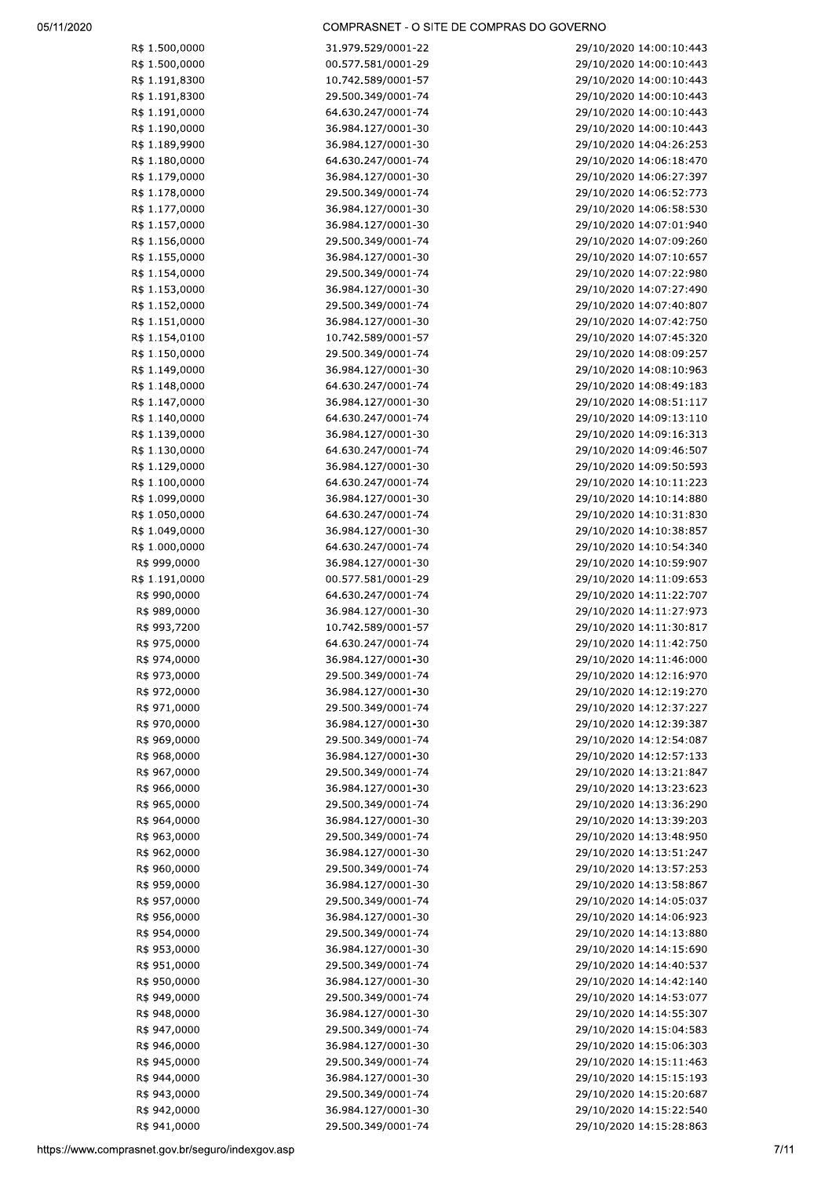## COMPRASNET - O SITE DE COMPRAS DO GOVERNO

| R\$<br>1.500,0000            |
|------------------------------|
| 1.500,0000<br>R\$            |
| R\$<br>1.191,8300            |
| 1.191,8300<br>R\$            |
| 1.191,0000<br>R\$            |
| 1.190,0000<br>R\$            |
| 1.189,9900<br>R\$            |
|                              |
| 1.180,0000<br>R\$            |
| 1.179,0000<br>R\$            |
| 1.178,0000<br>R\$            |
| R\$ 1.177,0000               |
| R\$ 1.157,0000               |
| R\$ 1.156,0000               |
| 1.155,0000<br>R\$            |
| R\$<br>1.154,0000            |
| 1.153,0000<br>R\$            |
|                              |
| 1.152,0000<br>R\$            |
| 1.151,0000<br>R\$            |
| 1.154,0100<br>R\$            |
| 1.150,0000<br>R\$            |
| 1.149,0000<br>R\$            |
| R\$ 1.148,0000               |
| R\$ 1.147,0000               |
| R\$ 1.140,0000               |
| R\$ 1.139,0000               |
|                              |
| R\$<br>1.130,0000            |
| 1.129,0000<br>R\$            |
| R\$<br>1.100,0000            |
| R\$<br>1.099,0000            |
| 1.050,0000<br>R\$            |
| 1.049,0000<br>R\$            |
| 1.000,0000<br>R\$            |
| R\$ 999,0000                 |
| R\$ 1.191,0000               |
| R\$ 990,0000                 |
| R\$ 989,0000                 |
|                              |
| R\$ 993,7200                 |
| R\$ 975,0000                 |
| R\$<br>974,0000              |
| 973,0000<br>R\$              |
| 972,0000<br>R\$              |
| 971,0000<br>R\$              |
| 970,0000<br>R\$              |
| 969,0000<br>R\$              |
| 968,0000<br>R\$              |
| 967,0000<br>R\$              |
| R\$<br>966,0000              |
|                              |
| 965,0000<br>R\$              |
| R\$ 964,0000                 |
| R\$ 963,0000                 |
| R\$ 962,0000                 |
| R\$<br>960,0000              |
| 959,0000<br>R\$              |
| 957,0000<br>R\$              |
| 956,0000<br>R\$              |
| R\$ 954,0000                 |
| R\$ 953,0000                 |
| 951,0000                     |
| R\$                          |
| R\$ 950,0000                 |
| R\$ 949,0000                 |
| R\$ 948,0000                 |
| R\$ 947,0000                 |
| R\$ 946,0000                 |
| R\$ 945,0000                 |
| R\$ 944,0000                 |
|                              |
|                              |
| R\$ 943,0000<br>R\$ 942,0000 |

| 31.979.529/0001-22      |
|-------------------------|
| 00.577.581/0001-29      |
| 10.742.589/0001-57      |
| 29.500.349/0001-74      |
| 64.630.247/0001-74      |
| 36.984.127/0001-30      |
| 36.984.127/0001-30      |
| 64.630.247/0001-74      |
|                         |
| 36.984.127/0001-30      |
| 29.500.349/0001-74      |
| 36.984.127/0001-30      |
| 36.984.127/0001-30      |
| 29.500.349/0001-74      |
| 36.984.127/0001-30      |
| 29.500.349/0001-74      |
| 36.984.127/0001-30      |
| 29.500.349/0001-74      |
| 36.984.127/0001-30      |
| 10.742.589/0001-57      |
| 29.500.349/0001·<br>-74 |
| 36.984.127/0001-30      |
| 64.630.247/0001-<br>-74 |
| 36.984.127/0001-30      |
| 64.630.247/0001-74      |
| 36.984.127/0001-30      |
| 64.630.247/0001-74      |
| 36.984.127/0001-30      |
|                         |
| 64.630.247/0001-74      |
| 36.984.127/0001-30      |
| 64.630.247/0001-74      |
| 36.984.127/0001-30      |
| 64.630.247/0001-74      |
| 36.984.127/0001-30      |
| 00.577.581/0001-29      |
| 64.630.247/0001-74      |
| 36.984.127/0001-30      |
| 10.742.589/0001-57      |
| 64.630.247/0001-74      |
| 36.984.127/0001-30      |
| 29.500.349/0001-74      |
| 36.984.127/0001-30      |
| 29.500.349/0001-74      |
| 36.984.127/0001-30      |
| 29.500.349/0001-74      |
| 36.984.127/0001-30      |
| 29.500.349/0001-74      |
| 36.984.127/0001-30      |
| 29.500.349/0001-74      |
| 36.984.127/0001-30      |
|                         |
|                         |
| 29.500.349/0001-74      |
| 36.984.127/0001-30      |
| 29.500.349/0001-74      |
| 36.984.127/0001-30      |
| 29.500.349/0001-74      |
| 36.984.127/0001-30      |
| 29.500.349/0001-74      |
| 36.984.127/0001-30      |
| 29.500.349/0001-74      |
| 36.984.127/0001-30      |
| 29.500.349/0001-74      |
| 36.984.127/0001-30      |
| 29.500.349/0001-74      |
| 36.984.127/0001-30      |
| 29.500.349/0001-74      |
| 36.984.127/0001-30      |
| 29.500.349/0001-74      |
| 36.984.127/0001-30      |

| 29/10/2020<br>14:00:10:443                               |  |
|----------------------------------------------------------|--|
| 29/10/2020<br>14:00:10:443                               |  |
| 29/10/2020<br>14:00:10:443                               |  |
|                                                          |  |
| 29/10/2020<br>14:00:10:443                               |  |
| 29/10/2020<br>14:00:10:443                               |  |
| 29/10/2020<br>14:00:10:443                               |  |
| 29/10/2020<br>14:04:26:253                               |  |
| 29/10/2020<br>14:06:18:470                               |  |
| 14:06:27:397<br>29/10/2020                               |  |
| 29/10/2020<br>14:06:52:773                               |  |
|                                                          |  |
| 29/10/2020<br>14:06:58:530                               |  |
| 29/10/2020<br>14:07:01:940                               |  |
| 29/10/2020<br>14:07:09:260                               |  |
| 29/10/2020<br>14:07:10:657                               |  |
| 29/10/2020<br>14:07:22:980                               |  |
|                                                          |  |
| 29/10/2020<br>14:07:27:490                               |  |
| 29/10/2020<br>14:07:40:807                               |  |
| 29/10/2020<br>14:07:42:750                               |  |
| 29/10/2020<br>14:07:45:320                               |  |
| 29/10/2020<br>14:08:09:257                               |  |
| 29/10/2020<br>14:08:10:963                               |  |
| 14:08:49:183                                             |  |
| 29/10/2020                                               |  |
| 14:08:51:117<br>29/10/2020                               |  |
| 29/10/2020<br>14:09:13:110                               |  |
| 29/10/2020<br>14:09:16:313                               |  |
| 14:09:46:507<br>29/10/2020                               |  |
| 29/10/2020<br>14:09:50:593                               |  |
| 29/10/2020<br>14:10:11:223                               |  |
|                                                          |  |
| 29/10/2020<br>14:10:14:880                               |  |
| 29/10/2020<br>14:10:31:830                               |  |
| 29/10/2020<br>14:10:38:857                               |  |
| 29/10/2020<br>14:10:54:340                               |  |
| 14:10:59:907<br>29/10/2020                               |  |
| 14:11:09:653<br>29/10/2020                               |  |
| 29/10/2020<br>14:11:22:707                               |  |
| 29/10/2020<br>14:11:27:973                               |  |
| 29/10/2020<br>14:11:30:817                               |  |
|                                                          |  |
| 29/10/2020<br>14:11:42:750                               |  |
| 29/10/2020<br>14:11:46:000                               |  |
| 14:12:16:970<br>29/10/2020                               |  |
| 14:12:19:270<br>29/10/2020                               |  |
| 29/10/2020<br>14:12:37:227                               |  |
| 29/10/2020<br>14:12:39:387                               |  |
| 29/10/2020<br>14:12:54:087                               |  |
| 29/10/2020<br>14:12:57:133                               |  |
| 29/10/2020<br>14:13:21:847                               |  |
|                                                          |  |
| 29/10/2020<br>14:13:23:623                               |  |
| 29/10/2020<br>14:13:36:290                               |  |
| 29/10/2020<br>14:13:39:203                               |  |
| 29/10/2020<br>14:13:48:950                               |  |
| 29/10/2020<br>14:13:51:247                               |  |
| 29/10/2020<br>14:13:57:253                               |  |
| 14:13:58:867<br>29/10/2020                               |  |
| 29/10/2020<br>14:14:05:037                               |  |
|                                                          |  |
| 29/10/2020<br>14:14:06:923                               |  |
| 14:14:13:880<br>29/10/2020                               |  |
| 14:14:15:690<br>29/10/2020                               |  |
| 14:14:40:537<br>29/10/2020                               |  |
| 29/10/2020<br>14:14:42:140                               |  |
| 14:14:53:077<br>29/10/2020                               |  |
| 14:14:55:307<br>29/10/2020                               |  |
| 29/10/2020<br>14:15:04:583                               |  |
| 14:15:06:303<br>29/10/2020                               |  |
|                                                          |  |
|                                                          |  |
| 14:15:11:463<br>29/10/2020                               |  |
| 14:15:15:193<br>29/10/2020                               |  |
| 29/10/2020<br>14:15:20:687                               |  |
| 29/10/2020<br>14:15:22:540<br>29/10/2020<br>14:15:28:863 |  |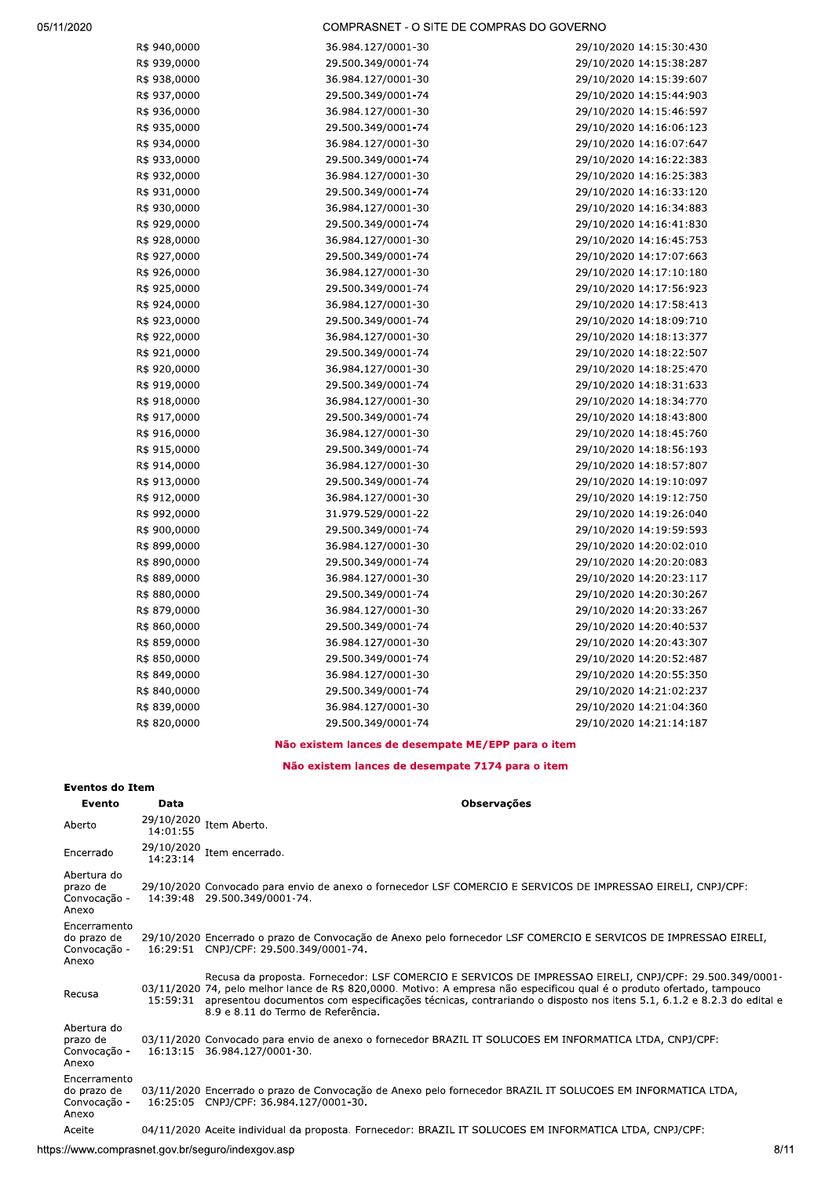COMPRASNET - O SITE DE COMPRAS DO GOVERNO

| R\$ 940,0000 | 36.984.127/0001-30 | 29/10/2020 14:15:30:430 |
|--------------|--------------------|-------------------------|
| R\$ 939,0000 | 29.500.349/0001-74 | 29/10/2020 14:15:38:287 |
| R\$ 938,0000 | 36.984.127/0001-30 | 29/10/2020 14:15:39:607 |
| R\$ 937,0000 | 29.500.349/0001-74 | 29/10/2020 14:15:44:903 |
| R\$ 936,0000 | 36.984.127/0001-30 | 29/10/2020 14:15:46:597 |
| R\$ 935,0000 | 29.500.349/0001-74 | 29/10/2020 14:16:06:123 |
| R\$ 934,0000 | 36.984.127/0001-30 | 29/10/2020 14:16:07:647 |
| R\$ 933,0000 | 29.500.349/0001-74 | 29/10/2020 14:16:22:383 |
| R\$ 932,0000 | 36.984.127/0001-30 | 29/10/2020 14:16:25:383 |
| R\$ 931,0000 | 29.500.349/0001-74 | 29/10/2020 14:16:33:120 |
| R\$ 930,0000 | 36.984.127/0001-30 | 29/10/2020 14:16:34:883 |
| R\$ 929,0000 | 29.500.349/0001-74 | 29/10/2020 14:16:41:830 |
| R\$ 928,0000 | 36.984.127/0001-30 | 29/10/2020 14:16:45:753 |
| R\$ 927,0000 | 29.500.349/0001-74 | 29/10/2020 14:17:07:663 |
| R\$ 926,0000 | 36.984.127/0001-30 | 29/10/2020 14:17:10:180 |
| R\$ 925,0000 | 29.500.349/0001-74 | 29/10/2020 14:17:56:923 |
| R\$ 924,0000 | 36.984.127/0001-30 | 29/10/2020 14:17:58:413 |
| R\$ 923,0000 | 29.500.349/0001-74 | 29/10/2020 14:18:09:710 |
| R\$ 922,0000 | 36.984.127/0001-30 | 29/10/2020 14:18:13:377 |
| R\$ 921,0000 | 29.500.349/0001-74 | 29/10/2020 14:18:22:507 |
| R\$ 920,0000 | 36.984.127/0001-30 | 29/10/2020 14:18:25:470 |
| R\$ 919,0000 | 29.500.349/0001-74 | 29/10/2020 14:18:31:633 |
| R\$ 918,0000 | 36.984.127/0001-30 | 29/10/2020 14:18:34:770 |
| R\$ 917,0000 | 29.500.349/0001-74 | 29/10/2020 14:18:43:800 |
| R\$ 916,0000 | 36.984.127/0001-30 | 29/10/2020 14:18:45:760 |
| R\$ 915,0000 | 29.500.349/0001-74 | 29/10/2020 14:18:56:193 |
| R\$ 914,0000 | 36.984.127/0001-30 | 29/10/2020 14:18:57:807 |
| R\$ 913,0000 | 29.500.349/0001-74 | 29/10/2020 14:19:10:097 |
| R\$ 912,0000 | 36.984.127/0001-30 | 29/10/2020 14:19:12:750 |
| R\$ 992,0000 | 31.979.529/0001-22 | 29/10/2020 14:19:26:040 |
| R\$ 900,0000 | 29.500.349/0001-74 | 29/10/2020 14:19:59:593 |
| R\$ 899,0000 | 36.984.127/0001-30 | 29/10/2020 14:20:02:010 |
| R\$ 890,0000 | 29.500.349/0001-74 | 29/10/2020 14:20:20:083 |
| R\$ 889,0000 | 36.984.127/0001-30 | 29/10/2020 14:20:23:117 |
| R\$ 880,0000 | 29.500.349/0001-74 | 29/10/2020 14:20:30:267 |
| R\$ 879,0000 | 36.984.127/0001-30 | 29/10/2020 14:20:33:267 |
| R\$ 860,0000 | 29.500.349/0001-74 | 29/10/2020 14:20:40:537 |
| R\$ 859,0000 | 36.984.127/0001-30 | 29/10/2020 14:20:43:307 |
| R\$ 850,0000 | 29.500.349/0001-74 | 29/10/2020 14:20:52:487 |
| R\$ 849,0000 | 36.984.127/0001-30 | 29/10/2020 14:20:55:350 |
| R\$ 840,0000 | 29.500.349/0001-74 | 29/10/2020 14:21:02:237 |
| R\$ 839,0000 | 36.984.127/0001-30 | 29/10/2020 14:21:04:360 |
| R\$ 820,0000 | 29.500.349/0001-74 | 29/10/2020 14:21:14:187 |

## Não existem lances de desempate ME/EPP para o item

Não existem lances de desempate 7174 para o item

# **Eventos do Item**

| Evento                                               | Data                   | <b>Observações</b>                                                                                                                                                                                                                                                                                                                                                                                       |
|------------------------------------------------------|------------------------|----------------------------------------------------------------------------------------------------------------------------------------------------------------------------------------------------------------------------------------------------------------------------------------------------------------------------------------------------------------------------------------------------------|
| Aberto                                               | 29/10/2020<br>14:01:55 | Item Aberto.                                                                                                                                                                                                                                                                                                                                                                                             |
| Encerrado                                            | 29/10/2020<br>14:23:14 | Item encerrado.                                                                                                                                                                                                                                                                                                                                                                                          |
| Abertura do<br>prazo de<br>Convocação -<br>Anexo     |                        | 29/10/2020 Convocado para envio de anexo o fornecedor LSF COMERCIO E SERVICOS DE IMPRESSAO EIRELI, CNPJ/CPF:<br>14:39:48 29.500.349/0001-74.                                                                                                                                                                                                                                                             |
| Encerramento<br>do prazo de<br>Convocação -<br>Anexo |                        | 29/10/2020 Encerrado o prazo de Convocação de Anexo pelo fornecedor LSF COMERCIO E SERVICOS DE IMPRESSAO EIRELI,<br>16:29:51 CNPJ/CPF: 29.500.349/0001-74.                                                                                                                                                                                                                                               |
| Recusa                                               |                        | Recusa da proposta. Fornecedor: LSF COMERCIO E SERVICOS DE IMPRESSAO EIRELI, CNPJ/CPF: 29.500.349/0001-<br>03/11/2020 74, pelo melhor lance de R\$ 820,0000. Motivo: A empresa não especificou qual é o produto ofertado, tampouco<br>15:59:31 apresentou documentos com especificações técnicas, contrariando o disposto nos itens 5.1, 6.1.2 e 8.2.3 do edital e<br>8.9 e 8.11 do Termo de Referência. |
| Abertura do<br>prazo de<br>Convocação -<br>Anexo     |                        | 03/11/2020 Convocado para envio de anexo o fornecedor BRAZIL IT SOLUCOES EM INFORMATICA LTDA, CNPJ/CPF:<br>16:13:15 36.984.127/0001-30.                                                                                                                                                                                                                                                                  |
| Encerramento<br>do prazo de<br>Convocação -<br>Anexo |                        | 03/11/2020 Encerrado o prazo de Convocação de Anexo pelo fornecedor BRAZIL IT SOLUCOES EM INFORMATICA LTDA,<br>16:25:05 CNPJ/CPF: 36.984.127/0001-30.                                                                                                                                                                                                                                                    |
| Aceite                                               |                        | 04/11/2020 Aceite individual da proposta. Fornecedor: BRAZIL IT SOLUCOES EM INFORMATICA LTDA, CNPJ/CPF:                                                                                                                                                                                                                                                                                                  |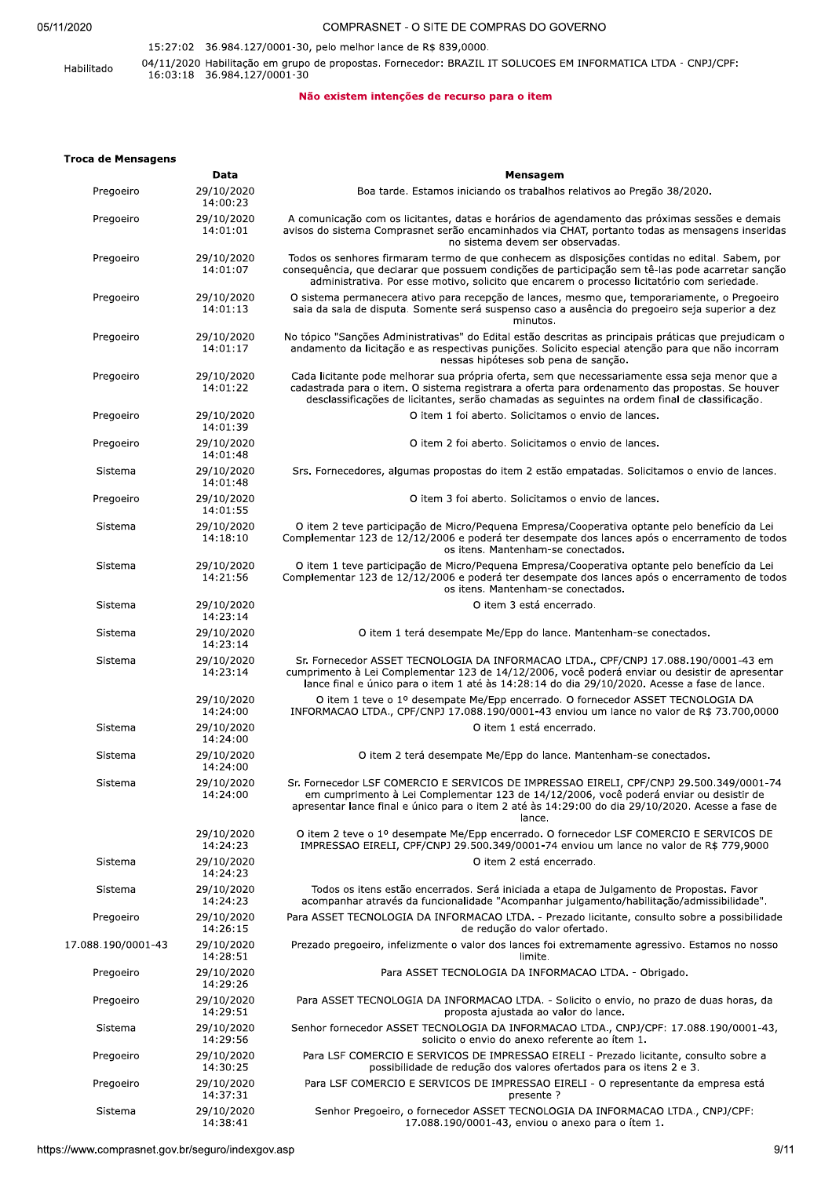## 05/11/2020

## COMPRASNET - O SITE DE COMPRAS DO GOVERNO

## 15:27:02 36.984.127/0001-30, pelo melhor lance de R\$ 839,0000. 04/11/2020 Habilitação em grupo de propostas. Fornecedor: BRAZIL IT SOLUCOES EM INFORMATICA LTDA - CNPJ/CPF:<br>16:03:18 36.984.127/0001-30 Habilitado

## Não existem intenções de recurso para o item

## **Troca de Mensagens**

|                    | Data                   | Mensagem                                                                                                                                                                                                                                                                                           |
|--------------------|------------------------|----------------------------------------------------------------------------------------------------------------------------------------------------------------------------------------------------------------------------------------------------------------------------------------------------|
| Pregoeiro          | 29/10/2020<br>14:00:23 | Boa tarde. Estamos iniciando os trabalhos relativos ao Pregão 38/2020.                                                                                                                                                                                                                             |
| Pregoeiro          | 29/10/2020<br>14:01:01 | A comunicação com os licitantes, datas e horários de agendamento das próximas sessões e demais<br>avisos do sistema Comprasnet serão encaminhados via CHAT, portanto todas as mensagens inseridas<br>no sistema devem ser observadas.                                                              |
| Pregoeiro          | 29/10/2020<br>14:01:07 | Todos os senhores firmaram termo de que conhecem as disposições contidas no edital. Sabem, por<br>consequência, que declarar que possuem condições de participação sem tê-las pode acarretar sanção<br>administrativa. Por esse motivo, solicito que encarem o processo licitatório com seriedade. |
| Pregoeiro          | 29/10/2020<br>14:01:13 | O sistema permanecera ativo para recepção de lances, mesmo que, temporariamente, o Pregoeiro<br>saia da sala de disputa. Somente será suspenso caso a ausência do pregoeiro seja superior a dez<br>minutos.                                                                                        |
| Pregoeiro          | 29/10/2020<br>14:01:17 | No tópico "Sanções Administrativas" do Edital estão descritas as principais práticas que prejudicam o<br>andamento da licitação e as respectivas punições. Solicito especial atenção para que não incorram<br>nessas hipóteses sob pena de sanção.                                                 |
| Pregoeiro          | 29/10/2020<br>14:01:22 | Cada licitante pode melhorar sua própria oferta, sem que necessariamente essa seja menor que a<br>cadastrada para o item. O sistema registrara a oferta para ordenamento das propostas. Se houver<br>desclassificações de licitantes, serão chamadas as seguintes na ordem final de classificação. |
| Pregoeiro          | 29/10/2020<br>14:01:39 | O item 1 foi aberto. Solicitamos o envio de lances.                                                                                                                                                                                                                                                |
| Pregoeiro          | 29/10/2020<br>14:01:48 | O item 2 foi aberto. Solicitamos o envio de lances.                                                                                                                                                                                                                                                |
| Sistema            | 29/10/2020<br>14:01:48 | Srs. Fornecedores, algumas propostas do item 2 estão empatadas. Solicitamos o envio de lances.                                                                                                                                                                                                     |
| Pregoeiro          | 29/10/2020<br>14:01:55 | O item 3 foi aberto. Solicitamos o envio de lances.                                                                                                                                                                                                                                                |
| Sistema            | 29/10/2020<br>14:18:10 | O item 2 teve participação de Micro/Pequena Empresa/Cooperativa optante pelo benefício da Lei<br>Complementar 123 de 12/12/2006 e poderá ter desempate dos lances após o encerramento de todos<br>os itens. Mantenham-se conectados.                                                               |
| Sistema            | 29/10/2020<br>14:21:56 | O item 1 teve participação de Micro/Pequena Empresa/Cooperativa optante pelo benefício da Lei<br>Complementar 123 de 12/12/2006 e poderá ter desempate dos lances após o encerramento de todos<br>os itens. Mantenham-se conectados.                                                               |
| Sistema            | 29/10/2020<br>14:23:14 | O item 3 está encerrado.                                                                                                                                                                                                                                                                           |
| Sistema            | 29/10/2020<br>14:23:14 | O item 1 terá desempate Me/Epp do lance. Mantenham-se conectados.                                                                                                                                                                                                                                  |
| Sistema            | 29/10/2020<br>14:23:14 | Sr. Fornecedor ASSET TECNOLOGIA DA INFORMACAO LTDA., CPF/CNPJ 17.088.190/0001-43 em<br>cumprimento à Lei Complementar 123 de 14/12/2006, você poderá enviar ou desistir de apresentar<br>lance final e único para o item 1 até às 14:28:14 do dia 29/10/2020. Acesse a fase de lance.              |
|                    | 29/10/2020<br>14:24:00 | O item 1 teve o 1º desempate Me/Epp encerrado. O fornecedor ASSET TECNOLOGIA DA<br>INFORMACAO LTDA., CPF/CNPJ 17.088.190/0001-43 enviou um lance no valor de R\$ 73.700,0000                                                                                                                       |
| Sistema            | 29/10/2020<br>14:24:00 | O item 1 está encerrado.                                                                                                                                                                                                                                                                           |
| Sistema            | 29/10/2020<br>14:24:00 | O item 2 terá desempate Me/Epp do lance. Mantenham-se conectados.                                                                                                                                                                                                                                  |
| Sistema            | 29/10/2020<br>14:24:00 | Sr. Fornecedor LSF COMERCIO E SERVICOS DE IMPRESSAO EIRELI, CPF/CNPJ 29.500.349/0001-74<br>em cumprimento à Lei Complementar 123 de 14/12/2006, você poderá enviar ou desistir de<br>apresentar lance final e único para o item 2 até às 14:29:00 do dia 29/10/2020. Acesse a fase de<br>lance.    |
|                    | 29/10/2020<br>14:24:23 | O item 2 teve o 1º desempate Me/Epp encerrado. O fornecedor LSF COMERCIO E SERVICOS DE<br>IMPRESSAO EIRELI, CPF/CNPJ 29.500.349/0001-74 enviou um lance no valor de R\$ 779,9000                                                                                                                   |
| Sistema            | 29/10/2020<br>14:24:23 | O item 2 está encerrado.                                                                                                                                                                                                                                                                           |
| Sistema            | 29/10/2020<br>14:24:23 | Todos os itens estão encerrados. Será iniciada a etapa de Julgamento de Propostas. Favor<br>acompanhar através da funcionalidade "Acompanhar julgamento/habilitação/admissibilidade".                                                                                                              |
| Pregoeiro          | 29/10/2020<br>14:26:15 | Para ASSET TECNOLOGIA DA INFORMACAO LTDA. - Prezado licitante, consulto sobre a possibilidade<br>de redução do valor ofertado.                                                                                                                                                                     |
| 17.088.190/0001-43 | 29/10/2020<br>14:28:51 | Prezado pregoeiro, infelizmente o valor dos lances foi extremamente agressivo. Estamos no nosso<br>limite.                                                                                                                                                                                         |
| Pregoeiro          | 29/10/2020<br>14:29:26 | Para ASSET TECNOLOGIA DA INFORMACAO LTDA. - Obrigado.                                                                                                                                                                                                                                              |
| Pregoeiro          | 29/10/2020<br>14:29:51 | Para ASSET TECNOLOGIA DA INFORMACAO LTDA. - Solicito o envio, no prazo de duas horas, da<br>proposta ajustada ao valor do lance.                                                                                                                                                                   |
| Sistema            | 29/10/2020<br>14:29:56 | Senhor fornecedor ASSET TECNOLOGIA DA INFORMACAO LTDA., CNPJ/CPF: 17.088.190/0001-43,<br>solicito o envio do anexo referente ao ítem 1.                                                                                                                                                            |
| Pregoeiro          | 29/10/2020<br>14:30:25 | Para LSF COMERCIO E SERVICOS DE IMPRESSAO EIRELI - Prezado licitante, consulto sobre a<br>possibilidade de redução dos valores ofertados para os itens 2 e 3.                                                                                                                                      |
| Pregoeiro          | 29/10/2020<br>14:37:31 | Para LSF COMERCIO E SERVICOS DE IMPRESSAO EIRELI - O representante da empresa está<br>presente?                                                                                                                                                                                                    |
| Sistema            | 29/10/2020<br>14:38:41 | Senhor Pregoeiro, o fornecedor ASSET TECNOLOGIA DA INFORMACAO LTDA., CNPJ/CPF:<br>17.088.190/0001-43, enviou o anexo para o ítem 1.                                                                                                                                                                |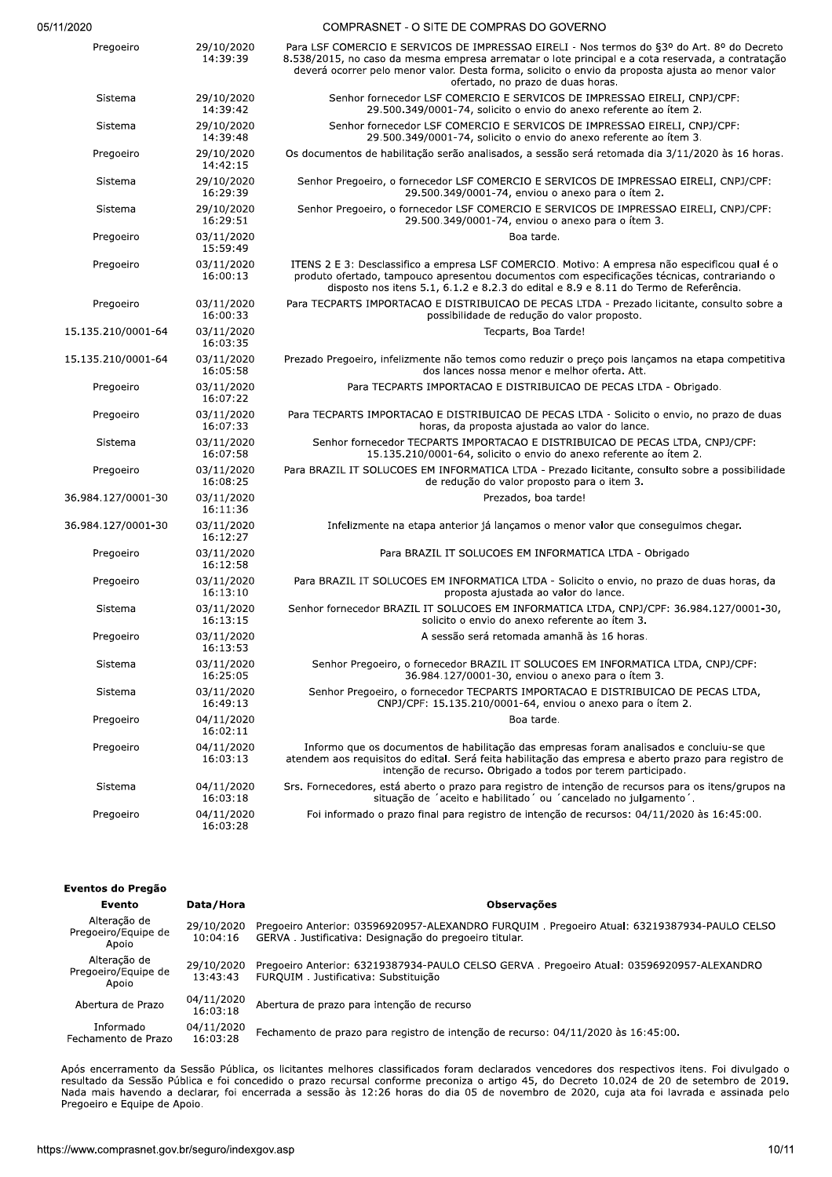| 05/11/2020 |  |
|------------|--|
|------------|--|

| 11/2020            |                        | COMPRASNET - O SITE DE COMPRAS DO GOVERNO                                                                                                                                                                                                                                                                                                |
|--------------------|------------------------|------------------------------------------------------------------------------------------------------------------------------------------------------------------------------------------------------------------------------------------------------------------------------------------------------------------------------------------|
| Pregoeiro          | 29/10/2020<br>14:39:39 | Para LSF COMERCIO E SERVICOS DE IMPRESSAO EIRELI - Nos termos do §3º do Art. 8º do Decreto<br>8.538/2015, no caso da mesma empresa arrematar o lote principal e a cota reservada, a contratação<br>deverá ocorrer pelo menor valor. Desta forma, solicito o envio da proposta ajusta ao menor valor<br>ofertado, no prazo de duas horas. |
| Sistema            | 29/10/2020<br>14:39:42 | Senhor fornecedor LSF COMERCIO E SERVICOS DE IMPRESSAO EIRELI, CNPJ/CPF:<br>29.500.349/0001-74, solicito o envio do anexo referente ao ítem 2.                                                                                                                                                                                           |
| Sistema            | 29/10/2020<br>14:39:48 | Senhor fornecedor LSF COMERCIO E SERVICOS DE IMPRESSAO EIRELI, CNPJ/CPF:<br>29.500.349/0001-74, solicito o envio do anexo referente ao ítem 3.                                                                                                                                                                                           |
| Pregoeiro          | 29/10/2020<br>14:42:15 | Os documentos de habilitação serão analisados, a sessão será retomada dia 3/11/2020 às 16 horas.                                                                                                                                                                                                                                         |
| Sistema            | 29/10/2020<br>16:29:39 | Senhor Pregoeiro, o fornecedor LSF COMERCIO E SERVICOS DE IMPRESSAO EIRELI, CNPJ/CPF:<br>29.500.349/0001-74, enviou o anexo para o ítem 2.                                                                                                                                                                                               |
| Sistema            | 29/10/2020<br>16:29:51 | Senhor Pregoeiro, o fornecedor LSF COMERCIO E SERVICOS DE IMPRESSAO EIRELI, CNPJ/CPF:<br>29.500.349/0001-74, enviou o anexo para o ítem 3.                                                                                                                                                                                               |
| Pregoeiro          | 03/11/2020<br>15:59:49 | Boa tarde.                                                                                                                                                                                                                                                                                                                               |
| Pregoeiro          | 03/11/2020<br>16:00:13 | ITENS 2 E 3: Desclassifico a empresa LSF COMERCIO. Motivo: A empresa não especificou qual é o<br>produto ofertado, tampouco apresentou documentos com especificações técnicas, contrariando o<br>disposto nos itens 5.1, 6.1.2 e 8.2.3 do edital e 8.9 e 8.11 do Termo de Referência.                                                    |
| Pregoeiro          | 03/11/2020<br>16:00:33 | Para TECPARTS IMPORTACAO E DISTRIBUICAO DE PECAS LTDA - Prezado licitante, consulto sobre a<br>possibilidade de redução do valor proposto.                                                                                                                                                                                               |
| 15.135.210/0001-64 | 03/11/2020<br>16:03:35 | Tecparts, Boa Tarde!                                                                                                                                                                                                                                                                                                                     |
| 15.135.210/0001-64 | 03/11/2020<br>16:05:58 | Prezado Pregoeiro, infelizmente não temos como reduzir o preço pois lançamos na etapa competitiva<br>dos lances nossa menor e melhor oferta. Att.                                                                                                                                                                                        |
| Pregoeiro          | 03/11/2020<br>16:07:22 | Para TECPARTS IMPORTACAO E DISTRIBUICAO DE PECAS LTDA - Obrigado.                                                                                                                                                                                                                                                                        |
| Pregoeiro          | 03/11/2020<br>16:07:33 | Para TECPARTS IMPORTACAO E DISTRIBUICAO DE PECAS LTDA - Solicito o envio, no prazo de duas<br>horas, da proposta ajustada ao valor do lance.                                                                                                                                                                                             |
| Sistema            | 03/11/2020<br>16:07:58 | Senhor fornecedor TECPARTS IMPORTACAO E DISTRIBUICAO DE PECAS LTDA, CNPJ/CPF:<br>15.135.210/0001-64, solicito o envio do anexo referente ao ítem 2.                                                                                                                                                                                      |
| Pregoeiro          | 03/11/2020<br>16:08:25 | Para BRAZIL IT SOLUCOES EM INFORMATICA LTDA - Prezado licitante, consulto sobre a possibilidade<br>de redução do valor proposto para o item 3.                                                                                                                                                                                           |
| 36.984.127/0001-30 | 03/11/2020<br>16:11:36 | Prezados, boa tarde!                                                                                                                                                                                                                                                                                                                     |
| 36.984.127/0001-30 | 03/11/2020<br>16:12:27 | Infelizmente na etapa anterior já lançamos o menor valor que conseguimos chegar.                                                                                                                                                                                                                                                         |
| Pregoeiro          | 03/11/2020<br>16:12:58 | Para BRAZIL IT SOLUCOES EM INFORMATICA LTDA - Obrigado                                                                                                                                                                                                                                                                                   |
| Pregoeiro          | 03/11/2020<br>16:13:10 | Para BRAZIL IT SOLUCOES EM INFORMATICA LTDA - Solicito o envio, no prazo de duas horas, da<br>proposta ajustada ao valor do lance.                                                                                                                                                                                                       |
| Sistema            | 03/11/2020<br>16:13:15 | Senhor fornecedor BRAZIL IT SOLUCOES EM INFORMATICA LTDA, CNPJ/CPF: 36.984.127/0001-30,<br>solicito o envio do anexo referente ao ítem 3.                                                                                                                                                                                                |
| Pregoeiro          | 03/11/2020<br>16:13:53 | A sessão será retomada amanhã às 16 horas.                                                                                                                                                                                                                                                                                               |
| Sistema            | 03/11/2020<br>16:25:05 | Senhor Pregoeiro, o fornecedor BRAZIL IT SOLUCOES EM INFORMATICA LTDA, CNPJ/CPF:<br>36.984.127/0001-30, enviou o anexo para o ítem 3.                                                                                                                                                                                                    |
| Sistema            | 03/11/2020<br>16:49:13 | Senhor Pregoeiro, o fornecedor TECPARTS IMPORTACAO E DISTRIBUICAO DE PECAS LTDA,<br>CNPJ/CPF: 15.135.210/0001-64, enviou o anexo para o ítem 2.                                                                                                                                                                                          |
| Pregoeiro          | 04/11/2020<br>16:02:11 | Boa tarde.                                                                                                                                                                                                                                                                                                                               |
| Pregoeiro          | 04/11/2020<br>16:03:13 | Informo que os documentos de habilitação das empresas foram analisados e concluiu-se que<br>atendem aos requisitos do edital. Será feita habilitação das empresa e aberto prazo para registro de<br>intenção de recurso. Obrigado a todos por terem participado.                                                                         |
| Sistema            | 04/11/2020<br>16:03:18 | Srs. Fornecedores, está aberto o prazo para registro de intenção de recursos para os itens/grupos na<br>situação de 'aceito e habilitado' ou 'cancelado no julgamento'.                                                                                                                                                                  |
| Pregoeiro          | 04/11/2020<br>16:03:28 | Foi informado o prazo final para registro de intenção de recursos: 04/11/2020 às 16:45:00.                                                                                                                                                                                                                                               |

| Eventos do Pregão                            |                        |                                                                                                                                                       |
|----------------------------------------------|------------------------|-------------------------------------------------------------------------------------------------------------------------------------------------------|
| Evento                                       | Data/Hora              | <b>Observações</b>                                                                                                                                    |
| Alteração de<br>Pregoeiro/Equipe de<br>Apoio | 29/10/2020<br>10:04:16 | Pregoeiro Anterior: 03596920957-ALEXANDRO FURQUIM. Pregoeiro Atual: 63219387934-PAULO CELSO<br>GERVA. Justificativa: Designação do pregoeiro titular. |
| Alteração de<br>Pregoeiro/Equipe de<br>Apoio | 29/10/2020<br>13:43:43 | Pregoeiro Anterior: 63219387934-PAULO CELSO GERVA . Pregoeiro Atual: 03596920957-ALEXANDRO<br>FUROUIM, Justificativa: Substituicão                    |
| Abertura de Prazo                            | 04/11/2020<br>16:03:18 | Abertura de prazo para intenção de recurso                                                                                                            |
| Informado<br>Fechamento de Prazo             | 04/11/2020<br>16:03:28 | Fechamento de prazo para registro de intenção de recurso: 04/11/2020 às 16:45:00.                                                                     |

ramento da Sessão Pública, os licitantes melhores classificados foram declarados vencedores dos respectivos itens. Foi divulgado o a Sessão Pública e foi concedido o prazo recursal conforme preconiza o artigo 45, do Decret Apos encerramento da Sessão Publica, os licitantes meinores classificados foram declarados vencedores dos respectivos itens. Foi divulgado o  $t$ esultado da Sessão Publica e foi concedido o prazo recursal conforme preconiza o artigo 45, do Decreto 10.024 de 20 de setembro de 2019.  $N$ ada mais havendo a declarar, foi encerrada a sessão as 12:26 horas do dia 05 de novembro de 2020, cuja ata foi lavrada e assinada pelo Pregoeiro e Equipe de Apoio.